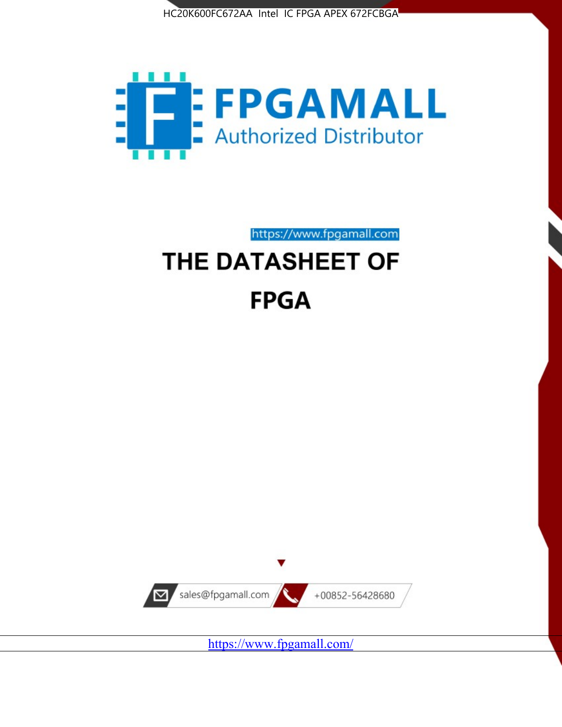



https://www.fpgamall.com

# THE DATASHEET OF **FPGA**



<https://www.fpgamall.com/>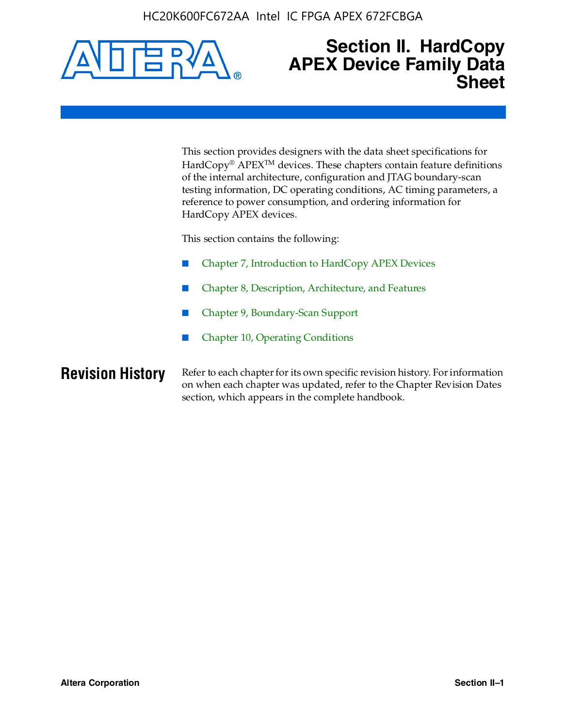

### **Section II. HardCopy APEX Device Family Data Sheet**

This section provides designers with the data sheet specifications for HardCopy<sup>®</sup> APEX<sup>™</sup> devices. These chapters contain feature definitions of the internal architecture, configuration and JTAG boundary-scan testing information, DC operating conditions, AC timing parameters, a reference to power consumption, and ordering information for HardCopy APEX devices.

This section contains the following:

- Chapter 7, Introduction to HardCopy APEX Devices
- Chapter 8, Description, Architecture, and Features
- Chapter 9, Boundary-Scan Support
- Chapter 10, Operating Conditions

**Revision History** Refer to each chapter for its own specific revision history. For information on when each chapter was updated, refer to the Chapter Revision Dates section, which appears in the complete handbook.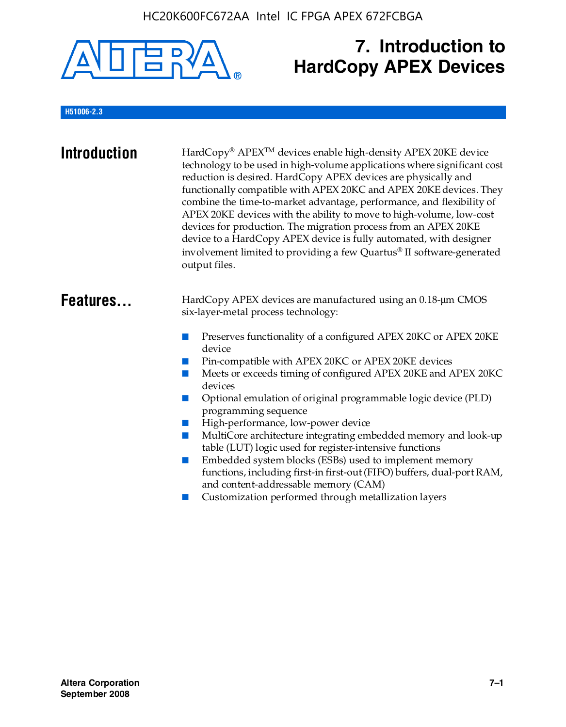

## **7. Introduction to HardCopy APEX Devices**

#### **H51006-2.3**

| <b>Introduction</b> | HardCopy® APEX <sup>™</sup> devices enable high-density APEX 20KE device<br>technology to be used in high-volume applications where significant cost<br>reduction is desired. HardCopy APEX devices are physically and<br>functionally compatible with APEX 20KC and APEX 20KE devices. They<br>combine the time-to-market advantage, performance, and flexibility of<br>APEX 20KE devices with the ability to move to high-volume, low-cost<br>devices for production. The migration process from an APEX 20KE<br>device to a HardCopy APEX device is fully automated, with designer<br>involvement limited to providing a few Quartus® II software-generated<br>output files.                                                                                                                                                |
|---------------------|--------------------------------------------------------------------------------------------------------------------------------------------------------------------------------------------------------------------------------------------------------------------------------------------------------------------------------------------------------------------------------------------------------------------------------------------------------------------------------------------------------------------------------------------------------------------------------------------------------------------------------------------------------------------------------------------------------------------------------------------------------------------------------------------------------------------------------|
| Features            | HardCopy APEX devices are manufactured using an 0.18-um CMOS<br>six-layer-metal process technology:<br>Preserves functionality of a configured APEX 20KC or APEX 20KE<br>device<br>Pin-compatible with APEX 20KC or APEX 20KE devices<br>Meets or exceeds timing of configured APEX 20KE and APEX 20KC<br>devices<br>Optional emulation of original programmable logic device (PLD)<br>m.<br>programming sequence<br>High-performance, low-power device<br>MultiCore architecture integrating embedded memory and look-up<br>table (LUT) logic used for register-intensive functions<br>Embedded system blocks (ESBs) used to implement memory<br>m.<br>functions, including first-in first-out (FIFO) buffers, dual-port RAM,<br>and content-addressable memory (CAM)<br>Customization performed through metallization layers |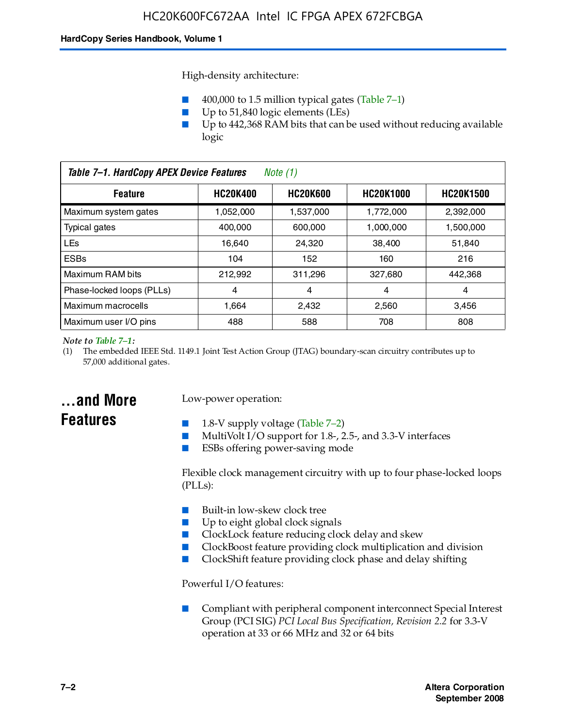High-density architecture:

- 400,000 to 1.5 million typical gates (Table 7–1)
- Up to 51,840 logic elements (LEs)
- Up to 442,368 RAM bits that can be used without reducing available logic

| Table 7-1. HardCopy APEX Device Features<br>Note $(1)$                                       |           |           |           |           |
|----------------------------------------------------------------------------------------------|-----------|-----------|-----------|-----------|
| <b>HC20K600</b><br><b>HC20K1000</b><br><b>HC20K400</b><br><b>HC20K1500</b><br><b>Feature</b> |           |           |           |           |
| Maximum system gates                                                                         | 1,052,000 | 1,537,000 | 1,772,000 | 2,392,000 |
| <b>Typical gates</b>                                                                         | 400.000   | 600,000   | 1.000.000 | 1,500,000 |
| <b>LEs</b>                                                                                   | 16.640    | 24.320    | 38.400    | 51,840    |
| <b>ESBs</b>                                                                                  | 104       | 152       | 160       | 216       |
| Maximum RAM bits                                                                             | 212.992   | 311,296   | 327.680   | 442,368   |
| Phase-locked loops (PLLs)                                                                    | 4         | 4         | 4         | 4         |
| Maximum macrocells                                                                           | 1.664     | 2,432     | 2,560     | 3,456     |
| Maximum user I/O pins                                                                        | 488       | 588       | 708       | 808       |

#### *Note to Table 7–1:*

(1) The embedded IEEE Std. 1149.1 Joint Test Action Group (JTAG) boundary-scan circuitry contributes up to 57,000 additional gates.

### **...and More Features**

#### Low-power operation:

- 1.8-V supply voltage (Table  $7-2$ )
- MultiVolt I/O support for 1.8-, 2.5-, and 3.3-V interfaces
- ESBs offering power-saving mode

Flexible clock management circuitry with up to four phase-locked loops (PLLs):

- Built-in low-skew clock tree
- Up to eight global clock signals
- ClockLock feature reducing clock delay and skew
- ClockBoost feature providing clock multiplication and division
- ClockShift feature providing clock phase and delay shifting

Powerful I/O features:

■ Compliant with peripheral component interconnect Special Interest Group (PCI SIG) *PCI Local Bus Specification, Revision 2.2* for 3.3-V operation at 33 or 66 MHz and 32 or 64 bits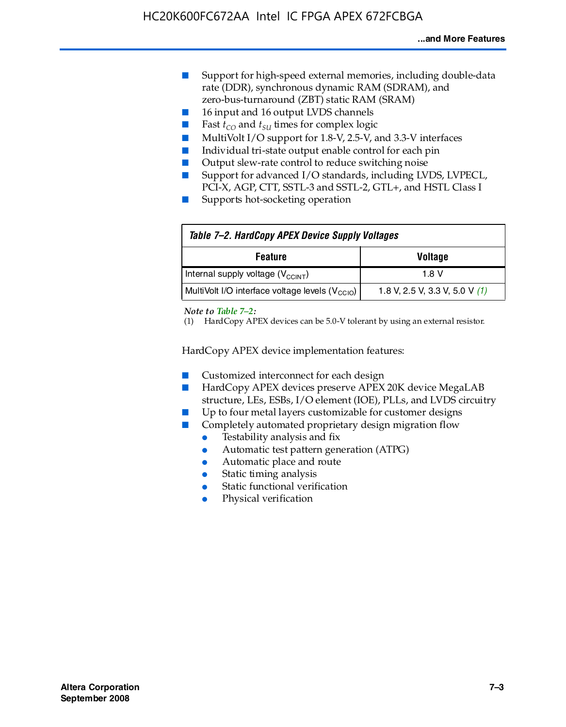- Support for high-speed external memories, including double-data rate (DDR), synchronous dynamic RAM (SDRAM), and zero-bus-turnaround (ZBT) static RAM (SRAM)
- 16 input and 16 output LVDS channels
- Fast  $t_{CO}$  and  $t_{SU}$  times for complex logic
- MultiVolt I/O support for 1.8-V, 2.5-V, and 3.3-V interfaces
- Individual tri-state output enable control for each pin
- Output slew-rate control to reduce switching noise
- Support for advanced I/O standards, including LVDS, LVPECL, PCI-X, AGP, CTT, SSTL-3 and SSTL-2, GTL+, and HSTL Class I
- Supports hot-socketing operation

| Table 7-2. HardCopy APEX Device Supply Voltages             |                                  |
|-------------------------------------------------------------|----------------------------------|
| <b>Voltage</b><br><b>Feature</b>                            |                                  |
| Internal supply voltage (V <sub>CCINT</sub> )               | 1.8 V                            |
| MultiVolt I/O interface voltage levels (V <sub>CCIO</sub> ) | 1.8 V, 2.5 V, 3.3 V, 5.0 V $(1)$ |

#### *Note to Table 7–2:*

(1) HardCopy APEX devices can be 5.0-V tolerant by using an external resistor.

HardCopy APEX device implementation features:

- Customized interconnect for each design
- HardCopy APEX devices preserve APEX 20K device MegaLAB structure, LEs, ESBs, I/O element (IOE), PLLs, and LVDS circuitry
- Up to four metal layers customizable for customer designs
- Completely automated proprietary design migration flow
	- Testability analysis and fix
	- Automatic test pattern generation (ATPG)
	- Automatic place and route
	- Static timing analysis
	- Static functional verification
	- Physical verification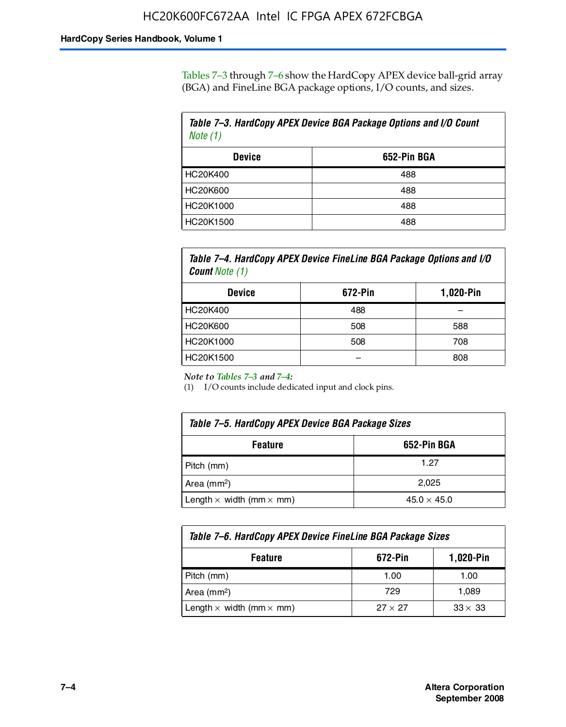Tables 7–3 through 7–6 show the HardCopy APEX device ball-grid array (BGA) and FineLine BGA package options, I/O counts, and sizes.

| Table 7-3. HardCopy APEX Device BGA Package Options and I/O Count<br>Note (1) |     |  |
|-------------------------------------------------------------------------------|-----|--|
| 652-Pin BGA<br><b>Device</b>                                                  |     |  |
| HC20K400                                                                      | 488 |  |
| HC20K600                                                                      | 488 |  |
| HC20K1000                                                                     | 488 |  |
| HC20K1500                                                                     | 488 |  |

*Table 7–4. HardCopy APEX Device FineLine BGA Package Options and I/O Count Note (1)*

| <b>Device</b>   | 672-Pin | 1,020-Pin |
|-----------------|---------|-----------|
| HC20K400        | 488     |           |
| <b>HC20K600</b> | 508     | 588       |
| HC20K1000       | 508     | 708       |
| HC20K1500       |         | 808       |

*Note to Tables 7–3 and 7–4:*

(1) I/O counts include dedicated input and clock pins.

| Table 7–5. HardCopy APEX Device BGA Package Sizes            |       |  |
|--------------------------------------------------------------|-------|--|
| 652-Pin BGA<br><b>Feature</b>                                |       |  |
| Pitch (mm)                                                   | 1.27  |  |
| Area (mm <sup>2</sup> )                                      | 2.025 |  |
| Length $\times$ width (mm $\times$ mm)<br>$45.0 \times 45.0$ |       |  |

| Table 7–6. HardCopy APEX Device FineLine BGA Package Sizes |                |                |  |
|------------------------------------------------------------|----------------|----------------|--|
| 672-Pin<br>1,020-Pin<br><b>Feature</b>                     |                |                |  |
| Pitch (mm)                                                 | 1.00           | 1.00           |  |
| Area ( $mm2$ )                                             | 729            | 1,089          |  |
| Length $\times$ width (mm $\times$ mm)                     | $27 \times 27$ | $33 \times 33$ |  |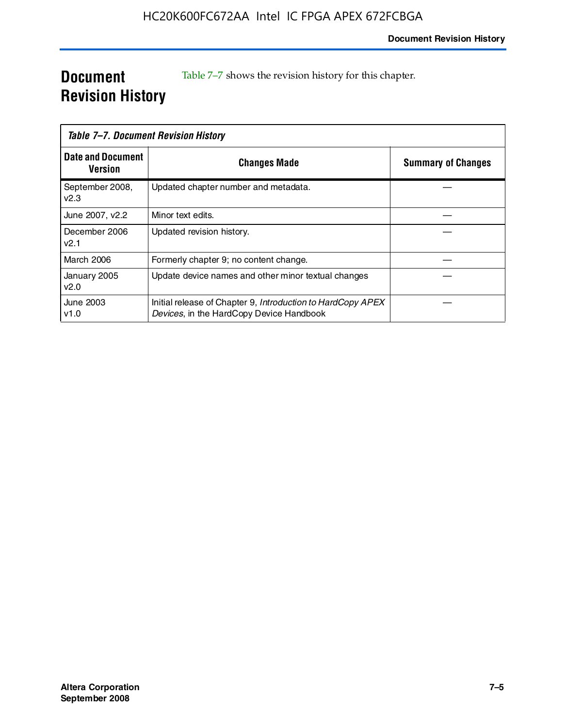### **Document Revision History**

Table 7–7 shows the revision history for this chapter.

|                                     | Table 7–7. Document Revision History                                                                    |                           |
|-------------------------------------|---------------------------------------------------------------------------------------------------------|---------------------------|
| <b>Date and Document</b><br>Version | <b>Changes Made</b>                                                                                     | <b>Summary of Changes</b> |
| September 2008,<br>V <sub>2.3</sub> | Updated chapter number and metadata.                                                                    |                           |
| June 2007, v2.2                     | Minor text edits.                                                                                       |                           |
| December 2006<br>v2.1               | Updated revision history.                                                                               |                           |
| <b>March 2006</b>                   | Formerly chapter 9; no content change.                                                                  |                           |
| January 2005<br>v2.0                | Update device names and other minor textual changes                                                     |                           |
| <b>June 2003</b><br>v1.0            | Initial release of Chapter 9, Introduction to HardCopy APEX<br>Devices, in the HardCopy Device Handbook |                           |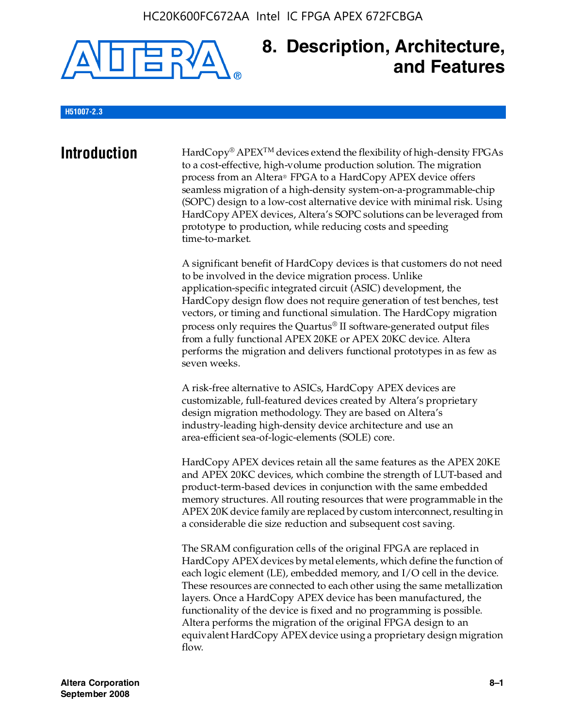

### **8. Description, Architecture, and Features**

#### **H51007-2.3**

**Introduction** HardCopy® APEX<sup>™</sup> devices extend the flexibility of high-density FPGAs to a cost-effective, high-volume production solution. The migration process from an Altera® FPGA to a HardCopy APEX device offers seamless migration of a high-density system-on-a-programmable-chip (SOPC) design to a low-cost alternative device with minimal risk. Using HardCopy APEX devices, Altera's SOPC solutions can be leveraged from prototype to production, while reducing costs and speeding time-to-market.

> A significant benefit of HardCopy devices is that customers do not need to be involved in the device migration process. Unlike application-specific integrated circuit (ASIC) development, the HardCopy design flow does not require generation of test benches, test vectors, or timing and functional simulation. The HardCopy migration process only requires the Quartus® II software-generated output files from a fully functional APEX 20KE or APEX 20KC device. Altera performs the migration and delivers functional prototypes in as few as seven weeks.

A risk-free alternative to ASICs, HardCopy APEX devices are customizable, full-featured devices created by Altera's proprietary design migration methodology. They are based on Altera's industry-leading high-density device architecture and use an area-efficient sea-of-logic-elements (SOLE) core.

HardCopy APEX devices retain all the same features as the APEX 20KE and APEX 20KC devices, which combine the strength of LUT-based and product-term-based devices in conjunction with the same embedded memory structures. All routing resources that were programmable in the APEX 20K device family are replaced by custom interconnect, resulting in a considerable die size reduction and subsequent cost saving.

The SRAM configuration cells of the original FPGA are replaced in HardCopy APEX devices by metal elements, which define the function of each logic element (LE), embedded memory, and I/O cell in the device. These resources are connected to each other using the same metallization layers. Once a HardCopy APEX device has been manufactured, the functionality of the device is fixed and no programming is possible. Altera performs the migration of the original FPGA design to an equivalent HardCopy APEX device using a proprietary design migration flow.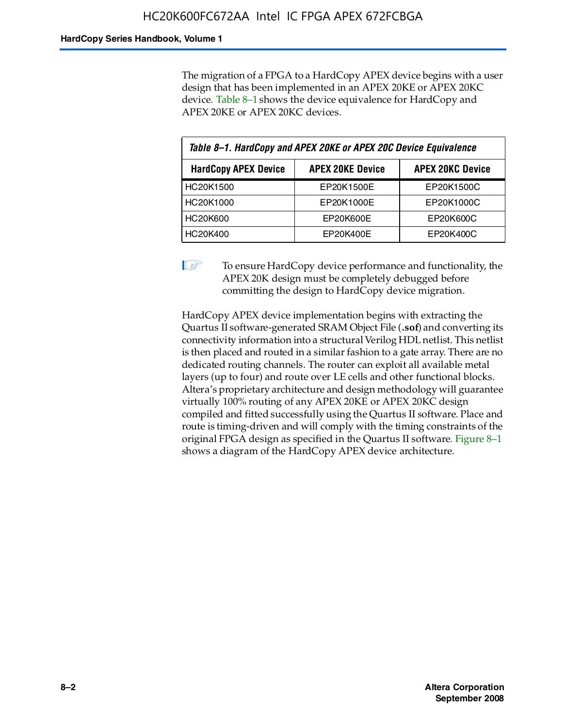The migration of a FPGA to a HardCopy APEX device begins with a user design that has been implemented in an APEX 20KE or APEX 20KC device. Table 8–1 shows the device equivalence for HardCopy and APEX 20KE or APEX 20KC devices.

| Table 8-1. HardCopy and APEX 20KE or APEX 20C Device Equivalence |                         |                         |  |
|------------------------------------------------------------------|-------------------------|-------------------------|--|
| <b>HardCopy APEX Device</b>                                      | <b>APEX 20KE Device</b> | <b>APEX 20KC Device</b> |  |
| HC20K1500                                                        | EP20K1500E              | EP20K1500C              |  |
| HC20K1000                                                        | EP20K1000E              | EP20K1000C              |  |
| <b>HC20K600</b>                                                  | EP20K600E               | EP20K600C               |  |
| HC20K400                                                         | EP20K400E               | EP20K400C               |  |

 $\mathbb{I}$  To ensure HardCopy device performance and functionality, the APEX 20K design must be completely debugged before committing the design to HardCopy device migration.

HardCopy APEX device implementation begins with extracting the Quartus II software-generated SRAM Object File (**.sof**) and converting its connectivity information into a structural Verilog HDL netlist. This netlist is then placed and routed in a similar fashion to a gate array. There are no dedicated routing channels. The router can exploit all available metal layers (up to four) and route over LE cells and other functional blocks. Altera's proprietary architecture and design methodology will guarantee virtually 100% routing of any APEX 20KE or APEX 20KC design compiled and fitted successfully using the Quartus II software. Place and route is timing-driven and will comply with the timing constraints of the original FPGA design as specified in the Quartus II software. Figure 8–1 shows a diagram of the HardCopy APEX device architecture.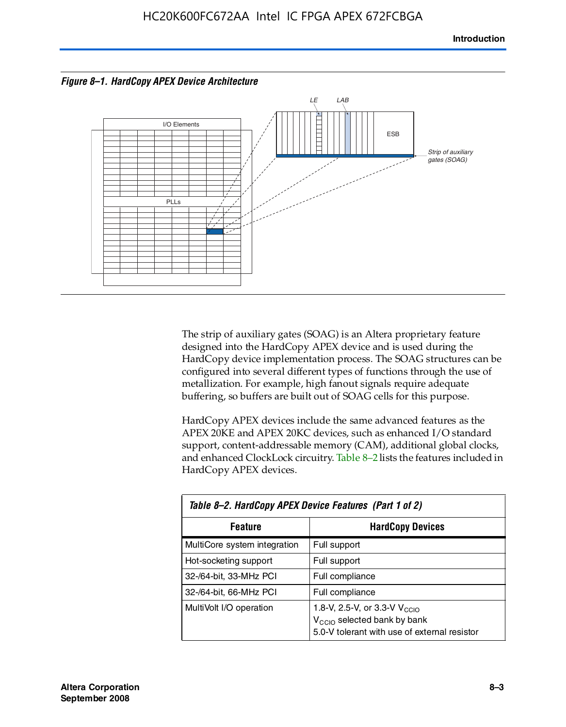



The strip of auxiliary gates (SOAG) is an Altera proprietary feature designed into the HardCopy APEX device and is used during the HardCopy device implementation process. The SOAG structures can be configured into several different types of functions through the use of metallization. For example, high fanout signals require adequate buffering, so buffers are built out of SOAG cells for this purpose.

HardCopy APEX devices include the same advanced features as the APEX 20KE and APEX 20KC devices, such as enhanced I/O standard support, content-addressable memory (CAM), additional global clocks, and enhanced ClockLock circuitry. Table 8–2 lists the features included in HardCopy APEX devices.

| Table 8–2. HardCopy APEX Device Features (Part 1 of 2) |                                                                                                                                     |  |  |
|--------------------------------------------------------|-------------------------------------------------------------------------------------------------------------------------------------|--|--|
| <b>HardCopy Devices</b><br><b>Feature</b>              |                                                                                                                                     |  |  |
| MultiCore system integration                           | Full support                                                                                                                        |  |  |
| Hot-socketing support                                  | Full support                                                                                                                        |  |  |
| 32-/64-bit, 33-MHz PCI                                 | Full compliance                                                                                                                     |  |  |
| 32-/64-bit, 66-MHz PCI                                 | Full compliance                                                                                                                     |  |  |
| MultiVolt I/O operation                                | 1.8-V, 2.5-V, or 3.3-V V <sub>CCIO</sub><br>V <sub>CCIO</sub> selected bank by bank<br>5.0-V tolerant with use of external resistor |  |  |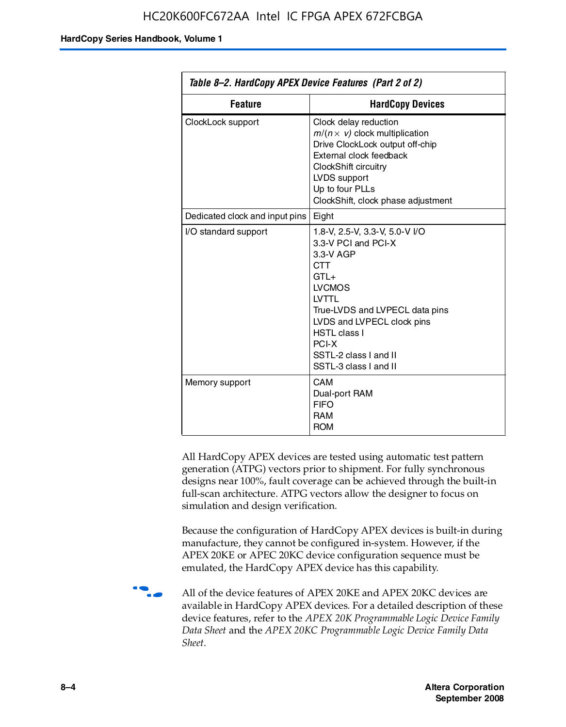| Table 8–2. HardCopy APEX Device Features (Part 2 of 2) |                                                                                                                                                                                                                                                                                |  |
|--------------------------------------------------------|--------------------------------------------------------------------------------------------------------------------------------------------------------------------------------------------------------------------------------------------------------------------------------|--|
| <b>Feature</b><br><b>HardCopy Devices</b>              |                                                                                                                                                                                                                                                                                |  |
| ClockLock support                                      | Clock delay reduction<br>$m/(n \times v)$ clock multiplication<br>Drive ClockLock output off-chip<br>External clock feedback<br>ClockShift circuitry<br>LVDS support<br>Up to four PLLs<br>ClockShift, clock phase adjustment                                                  |  |
| Dedicated clock and input pins                         | Eight                                                                                                                                                                                                                                                                          |  |
| I/O standard support                                   | 1.8-V, 2.5-V, 3.3-V, 5.0-V I/O<br>3.3-V PCI and PCI-X<br>3.3-V AGP<br><b>CTT</b><br>$GTI +$<br><b>LVCMOS</b><br><b>IVTTI</b><br>True-LVDS and LVPECL data pins<br>LVDS and LVPECL clock pins<br><b>HSTL class I</b><br>PCI-X<br>SSTL-2 class I and II<br>SSTL-3 class I and II |  |
| Memory support                                         | CAM<br>Dual-port RAM<br><b>FIFO</b><br><b>RAM</b><br><b>ROM</b>                                                                                                                                                                                                                |  |

All HardCopy APEX devices are tested using automatic test pattern generation (ATPG) vectors prior to shipment. For fully synchronous designs near 100%, fault coverage can be achieved through the built-in full-scan architecture. ATPG vectors allow the designer to focus on simulation and design verification.

Because the configuration of HardCopy APEX devices is built-in during manufacture, they cannot be configured in-system. However, if the APEX 20KE or APEC 20KC device configuration sequence must be emulated, the HardCopy APEX device has this capability.

**f all of the device features of APEX 20KE and APEX 20KC devices are** available in HardCopy APEX devices. For a detailed description of these device features, refer to the *APEX 20K Programmable Logic Device Family Data Sheet* and the *APEX 20KC Programmable Logic Device Family Data Sheet*.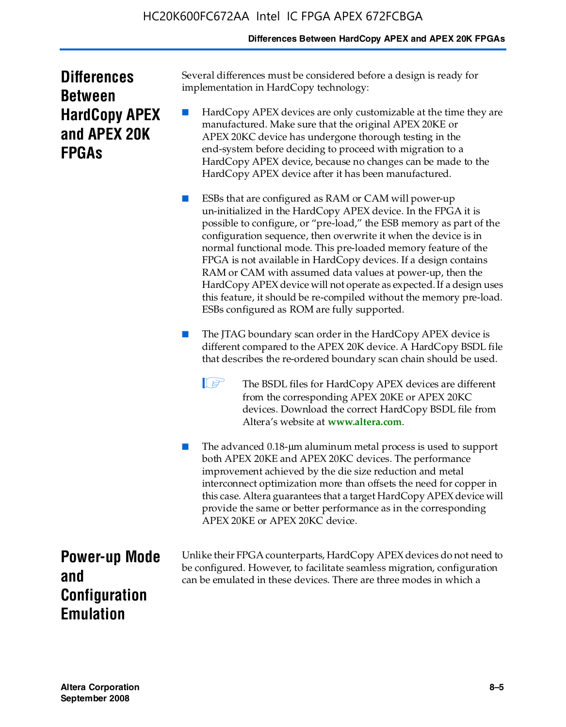#### **Differences Between HardCopy APEX and APEX 20K FPGAs**

| <b>Differences</b>   |
|----------------------|
| <b>Between</b>       |
| <b>HardCopy APEX</b> |
| and APEX 20K         |
| <b>FPGAs</b>         |

Several differences must be considered before a design is ready for implementation in HardCopy technology:

HardCopy APEX devices are only customizable at the time they are manufactured. Make sure that the original APEX 20KE or APEX 20KC device has undergone thorough testing in the end-system before deciding to proceed with migration to a HardCopy APEX device, because no changes can be made to the HardCopy APEX device after it has been manufactured.

ESBs that are configured as RAM or CAM will power-up un-initialized in the HardCopy APEX device. In the FPGA it is possible to configure, or "pre-load," the ESB memory as part of the configuration sequence, then overwrite it when the device is in normal functional mode. This pre-loaded memory feature of the FPGA is not available in HardCopy devices. If a design contains RAM or CAM with assumed data values at power-up, then the HardCopy APEX device will not operate as expected. If a design uses this feature, it should be re-compiled without the memory pre-load. ESBs configured as ROM are fully supported.

The JTAG boundary scan order in the HardCopy APEX device is different compared to the APEX 20K device. A HardCopy BSDL file that describes the re-ordered boundary scan chain should be used.

**1 The BSDL files for HardCopy APEX devices are different** from the corresponding APEX 20KE or APEX 20KC devices. Download the correct HardCopy BSDL file from Altera's website at **[www.altera.com](http://www.altera.com)**.

The advanced 0.18-μm aluminum metal process is used to support both APEX 20KE and APEX 20KC devices. The performance improvement achieved by the die size reduction and metal interconnect optimization more than offsets the need for copper in this case. Altera guarantees that a target HardCopy APEX device will provide the same or better performance as in the corresponding APEX 20KE or APEX 20KC device.

**Power-up Mode and Configuration Emulation**

Unlike their FPGA counterparts, HardCopy APEX devices do not need to be configured. However, to facilitate seamless migration, configuration can be emulated in these devices. There are three modes in which a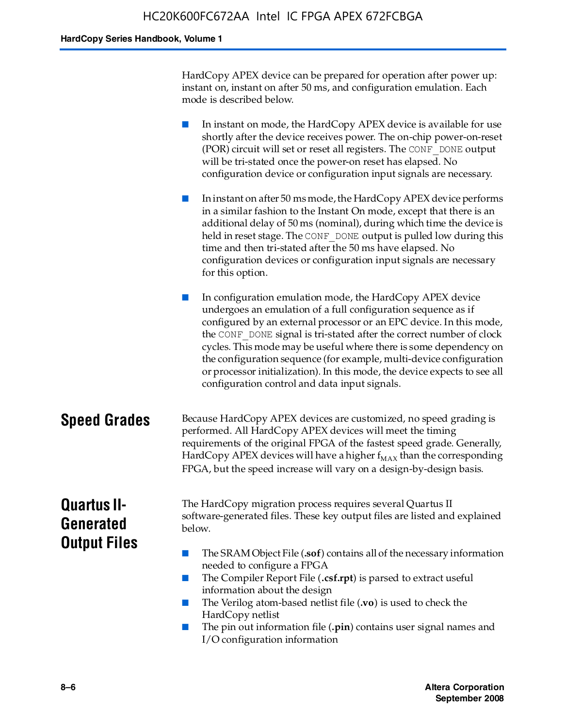HardCopy APEX device can be prepared for operation after power up: instant on, instant on after 50 ms, and configuration emulation. Each mode is described below.

■ In instant on mode, the HardCopy APEX device is available for use shortly after the device receives power. The on-chip power-on-reset (POR) circuit will set or reset all registers. The CONF\_DONE output will be tri-stated once the power-on reset has elapsed. No configuration device or configuration input signals are necessary.

In instant on after 50 ms mode, the HardCopy APEX device performs in a similar fashion to the Instant On mode, except that there is an additional delay of 50 ms (nominal), during which time the device is held in reset stage. The CONF DONE output is pulled low during this time and then tri-stated after the 50 ms have elapsed. No configuration devices or configuration input signals are necessary for this option.

In configuration emulation mode, the HardCopy APEX device undergoes an emulation of a full configuration sequence as if configured by an external processor or an EPC device. In this mode, the CONF\_DONE signal is tri-stated after the correct number of clock cycles. This mode may be useful where there is some dependency on the configuration sequence (for example, multi-device configuration or processor initialization). In this mode, the device expects to see all configuration control and data input signals.

#### **Speed Grades** Because HardCopy APEX devices are customized, no speed grading is performed. All HardCopy APEX devices will meet the timing requirements of the original FPGA of the fastest speed grade. Generally, HardCopy APEX devices will have a higher  $f_{MAX}$  than the corresponding FPGA, but the speed increase will vary on a design-by-design basis.

### **Quartus II-Generated Output Files**

The HardCopy migration process requires several Quartus II software-generated files. These key output files are listed and explained below.

- The SRAM Object File (**.sof**) contains all of the necessary information needed to configure a FPGA
- The Compiler Report File (.csf.rpt) is parsed to extract useful information about the design
- The Verilog atom-based netlist file (**.vo**) is used to check the HardCopy netlist
- The pin out information file (**.pin**) contains user signal names and I/O configuration information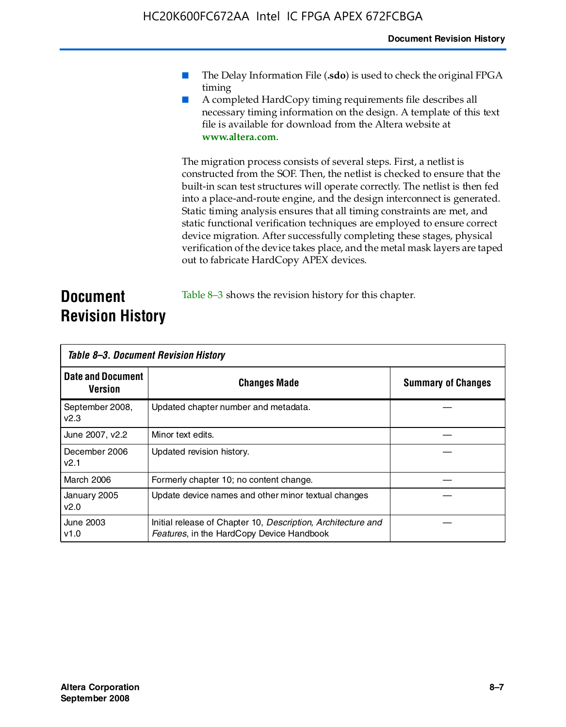- The Delay Information File (.sdo) is used to check the original FPGA timing
- A completed HardCopy timing requirements file describes all necessary timing information on the design. A template of this text file is available for download from the Altera website at **www.altera.com**.

The migration process consists of several steps. First, a netlist is constructed from the SOF. Then, the netlist is checked to ensure that the built-in scan test structures will operate correctly. The netlist is then fed into a place-and-route engine, and the design interconnect is generated. Static timing analysis ensures that all timing constraints are met, and static functional verification techniques are employed to ensure correct device migration. After successfully completing these stages, physical verification of the device takes place, and the metal mask layers are taped out to fabricate HardCopy APEX devices.

#### **Document Revision History** Table 8–3 shows the revision history for this chapter.

| Table 8–3. Document Revision History |                                                                                                           |                           |  |  |
|--------------------------------------|-----------------------------------------------------------------------------------------------------------|---------------------------|--|--|
| <b>Date and Document</b><br>Version  | <b>Changes Made</b>                                                                                       | <b>Summary of Changes</b> |  |  |
| September 2008,<br>V <sub>2.3</sub>  | Updated chapter number and metadata.                                                                      |                           |  |  |
| June 2007, v2.2                      | Minor text edits.                                                                                         |                           |  |  |
| December 2006<br>v2.1                | Updated revision history.                                                                                 |                           |  |  |
| March 2006                           | Formerly chapter 10; no content change.                                                                   |                           |  |  |
| January 2005<br>v2.0                 | Update device names and other minor textual changes                                                       |                           |  |  |
| <b>June 2003</b><br>v1.0             | Initial release of Chapter 10, Description, Architecture and<br>Features, in the HardCopy Device Handbook |                           |  |  |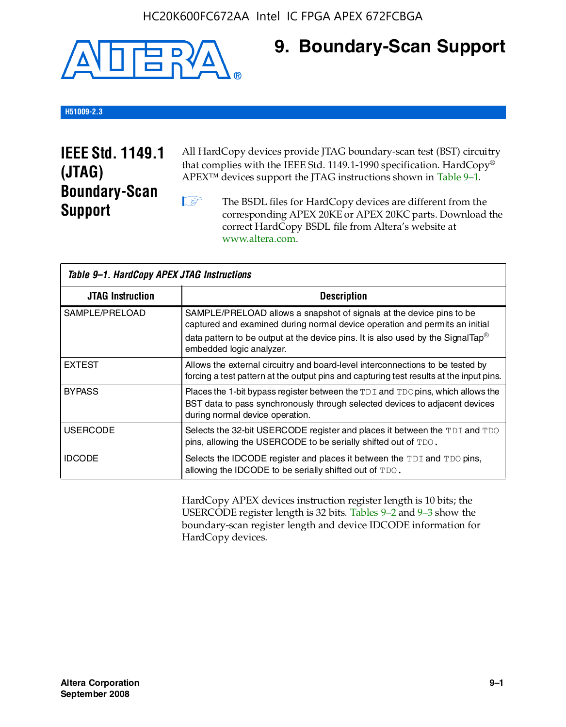

### **9. Boundary-Scan Support**

#### **H51009-2.3**

### **IEEE Std. 1149.1 (JTAG) Boundary-Scan Support**

All HardCopy devices provide JTAG boundary-scan test (BST) circuitry that complies with the IEEE Std. 1149.1-1990 specification. HardCopy® APEX™ devices support the JTAG instructions shown in Table 9–1.

**1 The BSDL files for HardCopy devices are different from the** corresponding APEX 20KE or APEX 20KC parts. Download the [correct HardCopy BSDL file from Altera's website at](http://www.altera.com)  www.altera.com.

| Table 9-1. HardCopy APEX JTAG Instructions |                                                                                                                                                                                                                                                                                |  |  |  |
|--------------------------------------------|--------------------------------------------------------------------------------------------------------------------------------------------------------------------------------------------------------------------------------------------------------------------------------|--|--|--|
| <b>JTAG Instruction</b>                    | <b>Description</b>                                                                                                                                                                                                                                                             |  |  |  |
| SAMPLE/PRELOAD                             | SAMPLE/PRELOAD allows a snapshot of signals at the device pins to be<br>captured and examined during normal device operation and permits an initial<br>data pattern to be output at the device pins. It is also used by the SignalTap <sup>®</sup><br>embedded logic analyzer. |  |  |  |
| <b>EXTEST</b>                              | Allows the external circuitry and board-level interconnections to be tested by<br>forcing a test pattern at the output pins and capturing test results at the input pins.                                                                                                      |  |  |  |
| <b>BYPASS</b>                              | Places the 1-bit bypass register between the TDI and TDO pins, which allows the<br>BST data to pass synchronously through selected devices to adjacent devices<br>during normal device operation.                                                                              |  |  |  |
| <b>USERCODE</b>                            | Selects the 32-bit USERCODE register and places it between the TDI and TDO<br>pins, allowing the USERCODE to be serially shifted out of TDO.                                                                                                                                   |  |  |  |
| <b>IDCODE</b>                              | Selects the IDCODE register and places it between the TDI and TDO pins,<br>allowing the IDCODE to be serially shifted out of TDO.                                                                                                                                              |  |  |  |

HardCopy APEX devices instruction register length is 10 bits; the USERCODE register length is 32 bits. Tables 9–2 and 9–3 show the boundary-scan register length and device IDCODE information for HardCopy devices.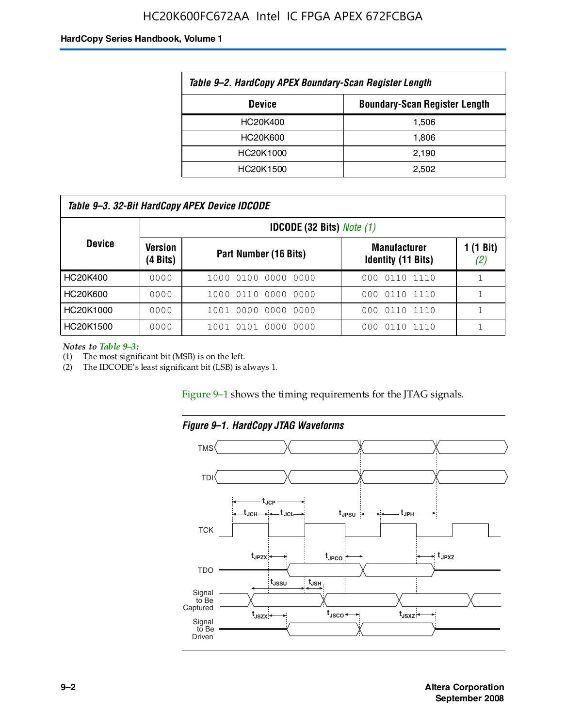#### HC20K600FC672AA Intel IC FPGA APEX 672FCBGA

#### **HardCopy Series Handbook, Volume 1**

| Table 9-2. HardCopy APEX Boundary-Scan Register Length |                                      |  |  |  |
|--------------------------------------------------------|--------------------------------------|--|--|--|
| <b>Device</b>                                          | <b>Boundary-Scan Register Length</b> |  |  |  |
| HC20K400                                               | 1.506                                |  |  |  |
| HC20K600                                               | 1.806                                |  |  |  |
| HC20K1000                                              | 2,190                                |  |  |  |
| HC20K1500                                              | 2.502                                |  |  |  |

| Table 9–3. 32-Bit HardCopy APEX Device IDCODE |                     |                                         |                                                  |                           |  |  |  |  |
|-----------------------------------------------|---------------------|-----------------------------------------|--------------------------------------------------|---------------------------|--|--|--|--|
|                                               |                     | <b>IDCODE (32 Bits)</b> <i>Note (1)</i> |                                                  |                           |  |  |  |  |
| <b>Device</b>                                 | Version<br>(4 Bits) | Part Number (16 Bits)                   | <b>Manufacturer</b><br><b>Identity (11 Bits)</b> | $1(1 \text{ Bit})$<br>(2) |  |  |  |  |
| HC20K400                                      | 0000                | 1000 0100 0000 0000                     | 0110 1110<br>000                                 |                           |  |  |  |  |
| HC20K600                                      | 0000                | 1000 0110 0000 0000                     | 000 0110 1110                                    |                           |  |  |  |  |
| HC20K1000                                     | 0000                | 1001 0000 0000 0000                     | 000 0110 1110                                    |                           |  |  |  |  |
| HC20K1500                                     | 0000                | 1001 0101 0000<br>0000                  | 0110 1110<br>000                                 |                           |  |  |  |  |

*Notes to Table 9–3:*

(1) The most significant bit (MSB) is on the left.

(2) The IDCODE's least significant bit (LSB) is always 1.

Figure 9–1 shows the timing requirements for the JTAG signals.



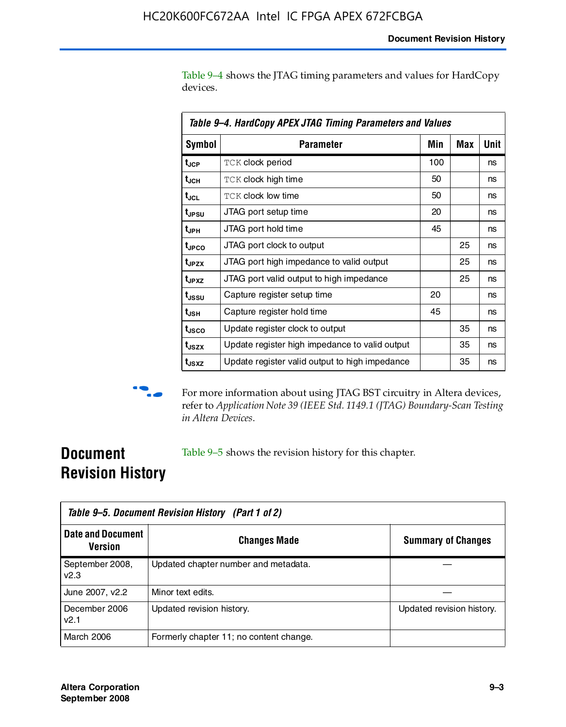Table 9–4 shows the JTAG timing parameters and values for HardCopy devices.

| Table 9–4. HardCopy APEX JTAG Timing Parameters and Values |                                                |     |     |      |  |  |
|------------------------------------------------------------|------------------------------------------------|-----|-----|------|--|--|
| <b>Symbol</b>                                              | Parameter                                      | Min | Max | Unit |  |  |
| t <sub>JCP</sub>                                           | <b>TCK clock period</b>                        | 100 |     | ns   |  |  |
| t <sub>JCH</sub>                                           | <b>TCK clock high time</b>                     | 50  |     | ns   |  |  |
| t <sub>JCL</sub>                                           | <b>TCK clock low time</b>                      | 50  |     | ns   |  |  |
| t <sub>JPSU</sub>                                          | JTAG port setup time                           | 20  |     | ns   |  |  |
| t <sub>JPH</sub>                                           | JTAG port hold time                            | 45  |     | ns   |  |  |
| t <sub>JPCO</sub>                                          | JTAG port clock to output                      |     | 25  | ns   |  |  |
| t <sub>JPZX</sub>                                          | JTAG port high impedance to valid output       |     | 25  | ns   |  |  |
| t <sub>JPXZ</sub>                                          | JTAG port valid output to high impedance       |     | 25  | ns   |  |  |
| t <sub>ussu</sub>                                          | Capture register setup time                    | 20  |     | ns   |  |  |
| t <sub>JSH</sub>                                           | Capture register hold time                     | 45  |     | ns   |  |  |
| t <sub>JSCO</sub>                                          | Update register clock to output                |     | 35  | ns   |  |  |
| t <sub>JSZX</sub>                                          | Update register high impedance to valid output |     | 35  | ns   |  |  |
| t <sub>JSXZ</sub>                                          | Update register valid output to high impedance |     | 35  | ns   |  |  |



**f** For more information about using JTAG BST circuitry in Altera devices, refer to *Application Note 39 (IEEE Std. 1149.1 (JTAG) Boundary-Scan Testing in Altera Devices*.

### **Document Revision History**

Table 9–5 shows the revision history for this chapter.

| Table 9–5. Document Revision History (Part 1 of 2) |                                         |                           |  |  |
|----------------------------------------------------|-----------------------------------------|---------------------------|--|--|
| <b>Date and Document</b><br><b>Version</b>         | <b>Changes Made</b>                     | <b>Summary of Changes</b> |  |  |
| September 2008,<br>v2.3                            | Updated chapter number and metadata.    |                           |  |  |
| June 2007, v2.2                                    | Minor text edits.                       |                           |  |  |
| December 2006<br>v2.1                              | Updated revision history.               | Updated revision history. |  |  |
| March 2006                                         | Formerly chapter 11; no content change. |                           |  |  |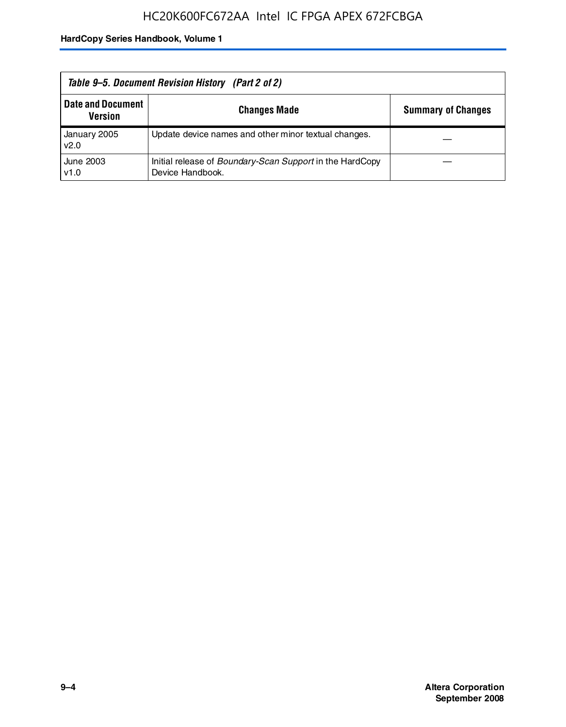| Table 9–5. Document Revision History (Part 2 of 2) |                                                                                     |                           |  |  |
|----------------------------------------------------|-------------------------------------------------------------------------------------|---------------------------|--|--|
| <b>Date and Document</b><br><b>Version</b>         | <b>Changes Made</b>                                                                 | <b>Summary of Changes</b> |  |  |
| January 2005<br>v2.0                               | Update device names and other minor textual changes.                                |                           |  |  |
| June 2003<br>v1.0                                  | Initial release of <i>Boundary-Scan Support</i> in the HardCopy<br>Device Handbook. |                           |  |  |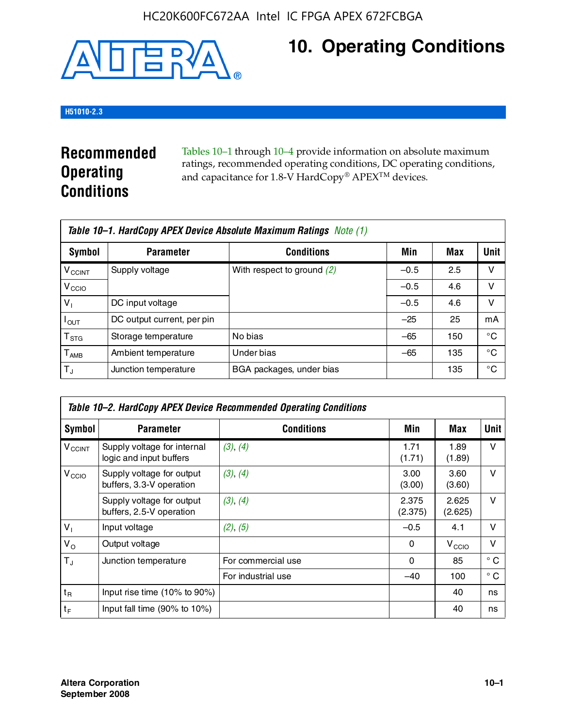

## **10. Operating Conditions**

#### **H51010-2.3**

### **Recommended Operating Conditions**

Tables 10–1 through 10–4 provide information on absolute maximum ratings, recommended operating conditions, DC operating conditions, and capacitance for 1.8-V HardCopy® APEX<sup>TM</sup> devices.

| Table 10–1. HardCopy APEX Device Absolute Maximum Ratings Note (1) |                            |                              |        |     |      |  |
|--------------------------------------------------------------------|----------------------------|------------------------------|--------|-----|------|--|
| Symbol                                                             | <b>Parameter</b>           | <b>Conditions</b>            | Min    | Max | Unit |  |
| <b>V<sub>CCINT</sub></b>                                           | Supply voltage             | With respect to ground $(2)$ | $-0.5$ | 2.5 | v    |  |
| V <sub>CCIO</sub>                                                  |                            |                              | $-0.5$ | 4.6 | ν    |  |
| $V_1$                                                              | DC input voltage           |                              | $-0.5$ | 4.6 | v    |  |
| $I_{OUT}$                                                          | DC output current, per pin |                              | $-25$  | 25  | mA   |  |
| $\mathsf{T}_{\text{STG}}$                                          | Storage temperature        | No bias                      | $-65$  | 150 | °€   |  |
| $T_{\sf AMB}$                                                      | Ambient temperature        | Under bias                   | $-65$  | 135 | °C   |  |
| $T_{\rm J}$                                                        | Junction temperature       | BGA packages, under bias     |        | 135 | °C   |  |

| Table 10–2. HardCopy APEX Device Recommended Operating Conditions |                                                        |                    |                  |                   |              |  |  |
|-------------------------------------------------------------------|--------------------------------------------------------|--------------------|------------------|-------------------|--------------|--|--|
| Symbol                                                            | <b>Parameter</b>                                       | <b>Conditions</b>  | Min              | Max               | Unit         |  |  |
| $V_{\text{CCINT}}$                                                | Supply voltage for internal<br>logic and input buffers | (3), (4)           | 1.71<br>(1.71)   | 1.89<br>(1.89)    | $\vee$       |  |  |
| V <sub>CCIO</sub>                                                 | Supply voltage for output<br>buffers, 3.3-V operation  | (3), (4)           | 3.00<br>(3.00)   | 3.60<br>(3.60)    | $\vee$       |  |  |
|                                                                   | Supply voltage for output<br>buffers, 2.5-V operation  | (3), (4)           | 2.375<br>(2.375) | 2.625<br>(2.625)  | $\vee$       |  |  |
| $V_1$                                                             | Input voltage                                          | (2), (5)           | $-0.5$           | 4.1               | $\vee$       |  |  |
| $V_{\rm O}$                                                       | Output voltage                                         |                    | 0                | V <sub>CCIO</sub> | $\vee$       |  |  |
| $T_{\rm J}$                                                       | Junction temperature                                   | For commercial use | 0                | 85                | $^{\circ}$ C |  |  |
|                                                                   |                                                        | For industrial use | $-40$            | 100               | $^{\circ}$ C |  |  |
| $t_{R}$                                                           | Input rise time (10% to 90%)                           |                    |                  | 40                | ns           |  |  |
| $t_F$                                                             | Input fall time $(90\% \text{ to } 10\%)$              |                    |                  | 40                | ns           |  |  |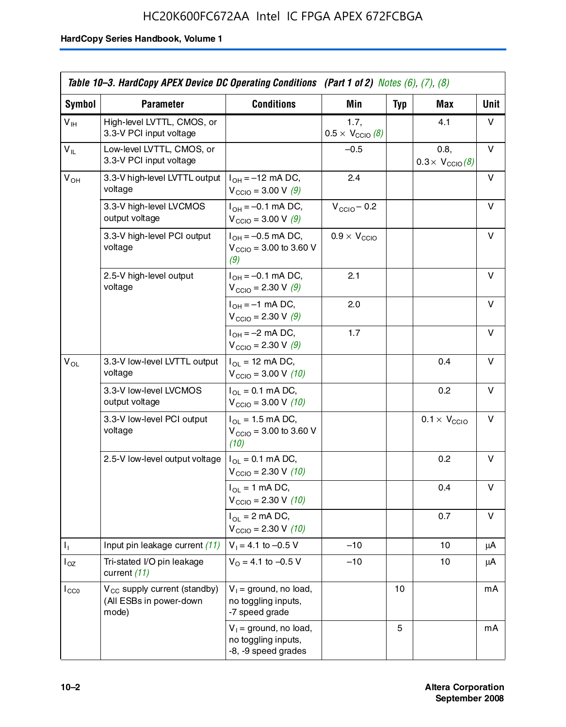### HC20K600FC672AA Intel IC FPGA APEX 672FCBGA

|                 | Table 10–3. HardCopy APEX Device DC Operating Conditions (Part 1 of 2) Notes (6), (7), (8) |                                                                        |                                          |            |                                         |      |  |
|-----------------|--------------------------------------------------------------------------------------------|------------------------------------------------------------------------|------------------------------------------|------------|-----------------------------------------|------|--|
| Symbol          | <b>Parameter</b>                                                                           | <b>Conditions</b>                                                      | <b>Min</b>                               | <b>Typ</b> | Max                                     | Unit |  |
| $V_{\text{IH}}$ | High-level LVTTL, CMOS, or<br>3.3-V PCI input voltage                                      |                                                                        | 1.7.<br>$0.5 \times V_{\text{CCIO}}$ (8) |            | 4.1                                     | v    |  |
| $V_{IL}$        | Low-level LVTTL, CMOS, or<br>3.3-V PCI input voltage                                       |                                                                        | $-0.5$                                   |            | 0.8,<br>$0.3 \times V_{\text{CCIO}}(8)$ | V    |  |
| $V_{OH}$        | 3.3-V high-level LVTTL output<br>voltage                                                   | $I_{OH} = -12$ mA DC,<br>$V_{\text{CCIO}} = 3.00 V (9)$                | 2.4                                      |            |                                         | v    |  |
|                 | 3.3-V high-level LVCMOS<br>output voltage                                                  | $I_{OH} = -0.1$ mA DC,<br>$V_{\text{CCIO}} = 3.00 \text{ V} (9)$       | $V_{\text{CCIO}} - 0.2$                  |            |                                         | v    |  |
|                 | 3.3-V high-level PCI output<br>voltage                                                     | $I_{OH} = -0.5$ mA DC,<br>$V_{\text{CCIO}} = 3.00$ to 3.60 V<br>(9)    | $0.9 \times V_{\text{CCIO}}$             |            |                                         | v    |  |
|                 | 2.5-V high-level output<br>voltage                                                         | $I_{OH} = -0.1$ mA DC,<br>$V_{\text{CCIO}} = 2.30 \text{ V} (9)$       | 2.1                                      |            |                                         | v    |  |
|                 |                                                                                            | $I_{OH} = -1$ mA DC,<br>$V_{\text{CCIO}} = 2.30 \text{ V} (9)$         | 2.0                                      |            |                                         | v    |  |
|                 |                                                                                            | $I_{OH} = -2$ mA DC,<br>$V_{\text{CCIO}} = 2.30 \text{ V} (9)$         | 1.7                                      |            |                                         | v    |  |
| $V_{OL}$        | 3.3-V low-level LVTTL output<br>voltage                                                    | $I_{OL}$ = 12 mA DC,<br>$V_{\text{CCIO}} = 3.00 V (10)$                |                                          |            | 0.4                                     | v    |  |
|                 | 3.3-V low-level LVCMOS<br>output voltage                                                   | $I_{OL} = 0.1$ mA DC,<br>$V_{\text{CCIO}} = 3.00 \text{ V} (10)$       |                                          |            | 0.2                                     | v    |  |
|                 | 3.3-V low-level PCI output<br>voltage                                                      | $I_{OL}$ = 1.5 mA DC,<br>$V_{\text{CCIO}} = 3.00$ to 3.60 V<br>(10)    |                                          |            | $0.1 \times V_{\text{CCIO}}$            | v    |  |
|                 | 2.5-V low-level output voltage                                                             | $I_{OL} = 0.1$ mA DC,<br>$V_{\text{CCIO}} = 2.30 \text{ V} (10)$       |                                          |            | 0.2                                     | v    |  |
|                 |                                                                                            | $I_{OL}$ = 1 mA DC,<br>$V_{\text{CCIO}} = 2.30 V (10)$                 |                                          |            | 0.4                                     | v    |  |
|                 |                                                                                            | $I_{OL}$ = 2 mA DC,<br>$V_{\text{CCIO}} = 2.30 V (10)$                 |                                          |            | 0.7                                     | v    |  |
| Τ,              | Input pin leakage current (11)                                                             | $V_1 = 4.1$ to $-0.5$ V                                                | $-10$                                    |            | 10                                      | μA   |  |
| $I_{OZ}$        | Tri-stated I/O pin leakage<br>current (11)                                                 | $V_0$ = 4.1 to -0.5 V                                                  | $-10$                                    |            | 10                                      | μA   |  |
| $I_{CC0}$       | $V_{CC}$ supply current (standby)<br>(All ESBs in power-down<br>mode)                      | $V_1$ = ground, no load,<br>no toggling inputs,<br>-7 speed grade      |                                          | 10         |                                         | mA   |  |
|                 |                                                                                            | $V_1$ = ground, no load,<br>no toggling inputs,<br>-8, -9 speed grades |                                          | 5          |                                         | mA   |  |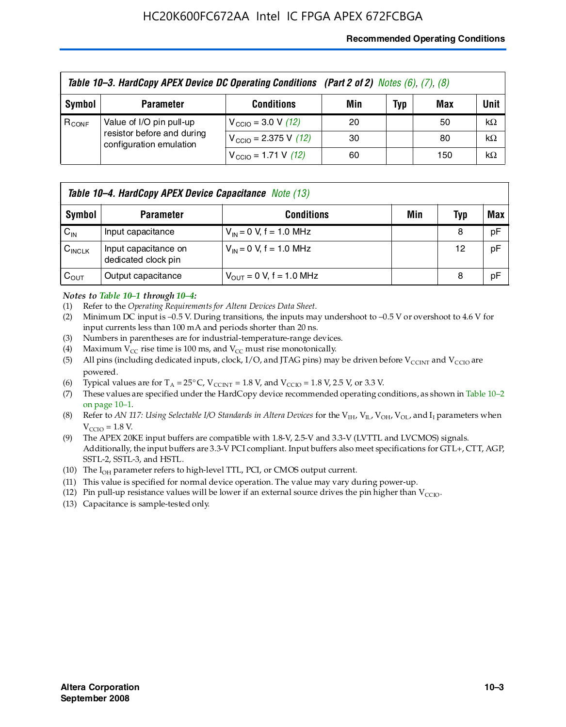#### **Recommended Operating Conditions**

| Table 10-3. HardCopy APEX Device DC Operating Conditions (Part 2 of 2) Notes (6), (7), (8) |                                                                                   |                                          |     |     |     |           |  |
|--------------------------------------------------------------------------------------------|-----------------------------------------------------------------------------------|------------------------------------------|-----|-----|-----|-----------|--|
| Symbol                                                                                     | <b>Parameter</b>                                                                  | <b>Conditions</b>                        | Min | Typ | Max | Unit      |  |
| $R_{CONF}$                                                                                 | Value of I/O pin pull-up<br>resistor before and during<br>configuration emulation | $V_{\text{CCIO}} = 3.0 V (12)$           | 20  |     | 50  | $k\Omega$ |  |
|                                                                                            |                                                                                   | $V_{\text{CCIO}} = 2.375 \text{ V}$ (12) | 30  |     | 80  | $k\Omega$ |  |
|                                                                                            |                                                                                   | $V_{\text{CCIO}} = 1.71 \text{ V}$ (12)  | 60  |     | 150 | $k\Omega$ |  |

|                    | <b>Table 10–4. HardCopy APEX Device Capacitance</b> Note (13) |                                     |     |     |     |  |  |
|--------------------|---------------------------------------------------------------|-------------------------------------|-----|-----|-----|--|--|
| Symbol             | <b>Parameter</b>                                              | <b>Conditions</b>                   | Min | Typ | Max |  |  |
| $C_{\text{IN}}$    | Input capacitance                                             | $V_{IN} = 0$ V, f = 1.0 MHz         |     | 8   | pF  |  |  |
| $C_{\text{INCLK}}$ | Input capacitance on<br>dedicated clock pin                   | $V_{IN} = 0$ V, f = 1.0 MHz         |     | 12  | pF  |  |  |
| $C_{OUT}$          | Output capacitance                                            | $V_{\text{OUT}} = 0$ V, f = 1.0 MHz |     | 8   | pF  |  |  |

#### *Notes to Table 10–1 through 10–4:*

- (1) Refer to the *Operating Requirements for Altera Devices Data Sheet*.
- (2) Minimum DC input is –0.5 V. During transitions, the inputs may undershoot to –0.5 V or overshoot to 4.6 V for input currents less than 100 mA and periods shorter than 20 ns.
- (3) Numbers in parentheses are for industrial-temperature-range devices.
- (4) Maximum  $V_{CC}$  rise time is 100 ms, and  $V_{CC}$  must rise monotonically.
- (5) All pins (including dedicated inputs, clock, I/O, and JTAG pins) may be driven before  $V_{\text{CCINT}}$  and  $V_{\text{CCIO}}$  are powered.
- (6) Typical values are for  $T_A = 25^{\circ}$  C,  $V_{CCTNT} = 1.8$  V, and  $V_{CCTO} = 1.8$  V, 2.5 V, or 3.3 V.
- (7) These values are specified under the HardCopy device recommended operating conditions, as shown in Table 10–2 on page 10–1.
- (8) Refer to *AN 117: Using Selectable I/O Standards in Altera Devices* for the V<sub>IH</sub>, V<sub>IL</sub>, V<sub>OH</sub>, V<sub>OL</sub>, and I<sub>I</sub> parameters when  $V_{\text{CCIO}} = 1.8 \text{ V}$ .
- (9) The APEX 20KE input buffers are compatible with 1.8-V, 2.5-V and 3.3-V (LVTTL and LVCMOS) signals. Additionally, the input buffers are 3.3-V PCI compliant. Input buffers also meet specifications for GTL+, CTT, AGP, SSTL-2, SSTL-3, and HSTL.
- (10) The  $I_{OH}$  parameter refers to high-level TTL, PCI, or CMOS output current.
- (11) This value is specified for normal device operation. The value may vary during power-up.
- (12) Pin pull-up resistance values will be lower if an external source drives the pin higher than  $V_{CCIO}$ .
- (13) Capacitance is sample-tested only.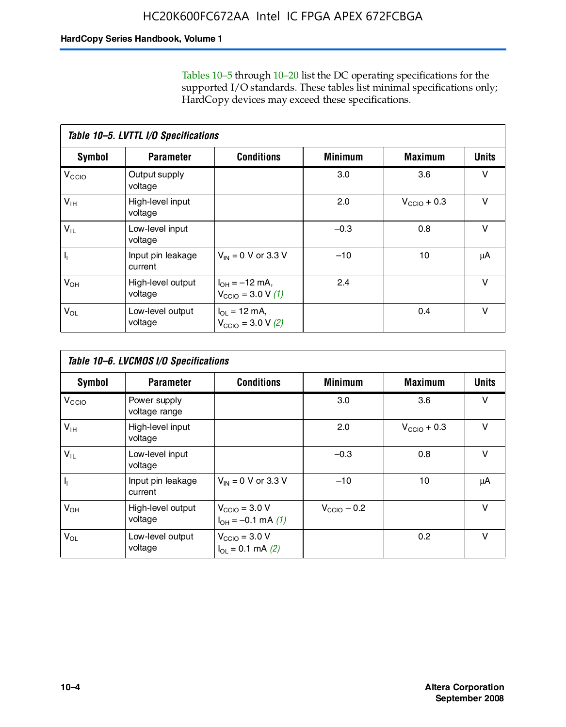Tables 10–5 through 10–20 list the DC operating specifications for the supported I/O standards. These tables list minimal specifications only; HardCopy devices may exceed these specifications.

|                           | Table 10-5. LVTTL I/O Specifications |                                                                 |                |                         |              |  |  |  |  |
|---------------------------|--------------------------------------|-----------------------------------------------------------------|----------------|-------------------------|--------------|--|--|--|--|
| Symbol                    | <b>Parameter</b>                     | <b>Conditions</b>                                               | <b>Minimum</b> | <b>Maximum</b>          | <b>Units</b> |  |  |  |  |
| $V_{\text{CCIO}}$         | Output supply<br>voltage             |                                                                 | 3.0            | 3.6                     | $\vee$       |  |  |  |  |
| $V_{\text{IH}}$           | High-level input<br>voltage          |                                                                 | 2.0            | $V_{\text{CCIO}} + 0.3$ | $\vee$       |  |  |  |  |
| $V_{IL}$                  | Low-level input<br>voltage           |                                                                 | $-0.3$         | 0.8                     | v            |  |  |  |  |
| $\mathsf{I}_{\mathsf{I}}$ | Input pin leakage<br>current         | $V_{IN} = 0$ V or 3.3 V                                         | $-10$          | 10                      | μA           |  |  |  |  |
| $V_{OH}$                  | High-level output<br>voltage         | $I_{OH} = -12$ mA,<br>$V_{\text{CCIO}} = 3.0 V(1)$              | 2.4            |                         | v            |  |  |  |  |
| $V_{OL}$                  | Low-level output<br>voltage          | $I_{\Omega I} = 12 \text{ mA}$<br>$V_{\text{CCIO}} = 3.0 V (2)$ |                | 0.4                     | $\vee$       |  |  |  |  |

|                   | Table 10-6. LVCMOS I/O Specifications |                                                           |                         |                         |              |  |  |  |  |
|-------------------|---------------------------------------|-----------------------------------------------------------|-------------------------|-------------------------|--------------|--|--|--|--|
| <b>Symbol</b>     | <b>Parameter</b>                      | <b>Conditions</b>                                         | <b>Minimum</b>          | <b>Maximum</b>          | <b>Units</b> |  |  |  |  |
| V <sub>CCIO</sub> | Power supply<br>voltage range         |                                                           | 3.0                     | 3.6                     | v            |  |  |  |  |
| $V_{\text{IH}}$   | High-level input<br>voltage           |                                                           | 2.0                     | $V_{\text{CCIO}} + 0.3$ | $\vee$       |  |  |  |  |
| $V_{IL}$          | Low-level input<br>voltage            |                                                           | $-0.3$                  | 0.8                     | $\vee$       |  |  |  |  |
| H,                | Input pin leakage<br>current          | $V_{IN} = 0$ V or 3.3 V                                   | $-10$                   | 10                      | μA           |  |  |  |  |
| $V_{OH}$          | High-level output<br>voltage          | $V_{\text{CCIO}} = 3.0 V$<br>$I_{OH} = -0.1$ mA $(1)$     | $V_{\text{CCIO}} - 0.2$ |                         | $\vee$       |  |  |  |  |
| $V_{OL}$          | Low-level output<br>voltage           | $V_{\text{CCIO}} = 3.0 V$<br>$I_{\text{OL}} = 0.1$ mA (2) |                         | 0.2                     | $\vee$       |  |  |  |  |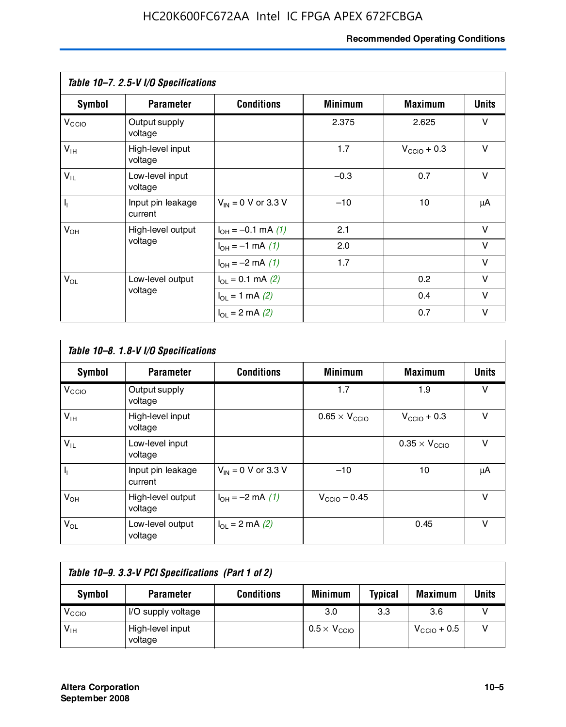#### **Recommended Operating Conditions**

|                   | Table 10-7. 2.5-V I/O Specifications |                           |                |                         |              |
|-------------------|--------------------------------------|---------------------------|----------------|-------------------------|--------------|
| Symbol            | <b>Parameter</b>                     | <b>Conditions</b>         | <b>Minimum</b> | <b>Maximum</b>          | <b>Units</b> |
| V <sub>CCIO</sub> | Output supply<br>voltage             |                           | 2.375          | 2.625                   | v            |
| $V_{\text{IH}}$   | High-level input<br>voltage          |                           | 1.7            | $V_{\text{CCIO}} + 0.3$ | $\vee$       |
| $V_{IL}$          | Low-level input<br>voltage           |                           | $-0.3$         | 0.7                     | $\vee$       |
| $\mathbf{l}_1$    | Input pin leakage<br>current         | $V_{IN} = 0$ V or 3.3 V   | $-10$          | 10                      | μA           |
| $V_{OH}$          | High-level output                    | $I_{OH} = -0.1$ mA $(1)$  | 2.1            |                         | $\vee$       |
|                   | voltage                              | $I_{OH} = -1$ mA (1)      | 2.0            |                         | V            |
|                   |                                      | $I_{OH} = -2$ mA (1)      | 1.7            |                         | v            |
| $V_{OL}$          | Low-level output                     | $I_{\Omega}$ = 0.1 mA (2) |                | 0.2                     | v            |
|                   | voltage                              | $I_{OL} = 1$ mA (2)       |                | 0.4                     | $\vee$       |
|                   |                                      | $I_{OL} = 2$ mA (2)       |                | 0.7                     | v            |

|                   | Table 10-8. 1.8-V I/O Specifications |                         |                               |                               |              |  |  |  |  |
|-------------------|--------------------------------------|-------------------------|-------------------------------|-------------------------------|--------------|--|--|--|--|
| Symbol            | <b>Parameter</b>                     | <b>Conditions</b>       | <b>Minimum</b>                | <b>Maximum</b>                | <b>Units</b> |  |  |  |  |
| V <sub>CCIO</sub> | Output supply<br>voltage             |                         | 1.7                           | 1.9                           | v            |  |  |  |  |
| $V_{IH}$          | High-level input<br>voltage          |                         | $0.65 \times V_{\text{CCIO}}$ | $V_{\text{CCIO}} + 0.3$       | v            |  |  |  |  |
| $V_{IL}$          | Low-level input<br>voltage           |                         |                               | $0.35 \times V_{\text{CCIO}}$ | $\vee$       |  |  |  |  |
| $\mathbf{l}_{1}$  | Input pin leakage<br>current         | $V_{IN} = 0$ V or 3.3 V | $-10$                         | 10                            | μA           |  |  |  |  |
| $V_{OH}$          | High-level output<br>voltage         | $I_{OH} = -2$ mA (1)    | $V_{\text{CCIO}} - 0.45$      |                               | v            |  |  |  |  |
| $V_{OL}$          | Low-level output<br>voltage          | $I_{\Omega}$ = 2 mA (2) |                               | 0.45                          | $\vee$       |  |  |  |  |

| Table 10-9. 3.3-V PCI Specifications (Part 1 of 2) |                             |                   |                              |                |                         |       |
|----------------------------------------------------|-----------------------------|-------------------|------------------------------|----------------|-------------------------|-------|
| Symbol                                             | <b>Parameter</b>            | <b>Conditions</b> | <b>Minimum</b>               | <b>Typical</b> | <b>Maximum</b>          | Units |
| V <sub>CIO</sub>                                   | I/O supply voltage          |                   | 3.0                          | 3.3            | 3.6                     |       |
| $V_{\text{IH}}$                                    | High-level input<br>voltage |                   | $0.5 \times V_{\text{CCIO}}$ |                | $V_{\text{CCIO}} + 0.5$ |       |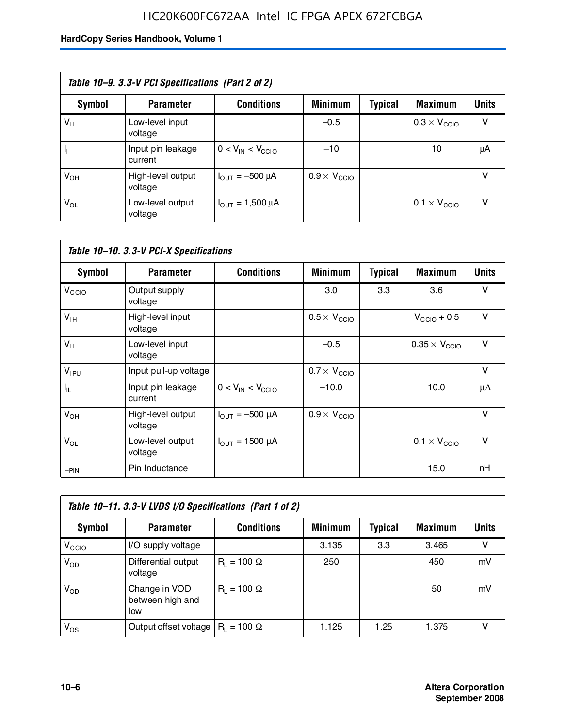### HC20K600FC672AA Intel IC FPGA APEX 672FCBGA

| Table 10–9. 3.3-V PCI Specifications (Part 2 of 2) |                              |                                        |                              |         |                              |              |  |
|----------------------------------------------------|------------------------------|----------------------------------------|------------------------------|---------|------------------------------|--------------|--|
| Symbol                                             | <b>Parameter</b>             | <b>Conditions</b>                      | <b>Minimum</b>               | Typical | <b>Maximum</b>               | <b>Units</b> |  |
| $V_{IL}$                                           | Low-level input<br>voltage   |                                        | $-0.5$                       |         | $0.3 \times V_{\text{CCIO}}$ | v            |  |
|                                                    | Input pin leakage<br>current | $0 < V_{IN} < V_{CCIO}$                | $-10$                        |         | 10                           | μA           |  |
| $V_{OH}$                                           | High-level output<br>voltage | $I_{\text{OUT}} = -500 \mu A$          | $0.9 \times V_{\text{CCIO}}$ |         |                              | v            |  |
| $V_{OL}$                                           | Low-level output<br>voltage  | $I_{\text{OUT}} = 1,500 \,\mu\text{A}$ |                              |         | $0.1 \times V_{\text{CCIO}}$ | v            |  |

| Table 10-10. 3.3-V PCI-X Specifications |                              |                               |                              |                |                               |              |  |
|-----------------------------------------|------------------------------|-------------------------------|------------------------------|----------------|-------------------------------|--------------|--|
| <b>Symbol</b>                           | <b>Parameter</b>             | <b>Conditions</b>             | <b>Minimum</b>               | <b>Typical</b> | <b>Maximum</b>                | <b>Units</b> |  |
| V <sub>CCIO</sub>                       | Output supply<br>voltage     |                               | 3.0                          | 3.3            | 3.6                           | v            |  |
| V <sub>IH</sub>                         | High-level input<br>voltage  |                               | $0.5 \times V_{\text{CCIO}}$ |                | $V_{\text{CCIO}} + 0.5$       | $\vee$       |  |
| $V_{IL}$                                | Low-level input<br>voltage   |                               | $-0.5$                       |                | $0.35 \times V_{\text{CCIO}}$ | $\vee$       |  |
| $V_{IPU}$                               | Input pull-up voltage        |                               | $0.7 \times V_{\text{CCIO}}$ |                |                               | $\vee$       |  |
| $I_{\rm IL}$                            | Input pin leakage<br>current | $0 < V_{IN} < V_{CGIO}$       | $-10.0$                      |                | 10.0                          | μA           |  |
| $V_{OH}$                                | High-level output<br>voltage | $I_{\text{OUT}} = -500 \mu A$ | $0.9 \times V_{\text{CCIO}}$ |                |                               | $\vee$       |  |
| $V_{OL}$                                | Low-level output<br>voltage  | $I_{\text{OUT}} = 1500 \mu A$ |                              |                | $0.1 \times V_{\text{CCIO}}$  | $\vee$       |  |
| L <sub>PIN</sub>                        | Pin Inductance               |                               |                              |                | 15.0                          | nH           |  |

| Table 10-11. 3.3-V LVDS I/O Specifications (Part 1 of 2) |                                           |                    |                |                |                |              |  |
|----------------------------------------------------------|-------------------------------------------|--------------------|----------------|----------------|----------------|--------------|--|
| Symbol                                                   | <b>Parameter</b>                          | <b>Conditions</b>  | <b>Minimum</b> | <b>Typical</b> | <b>Maximum</b> | <b>Units</b> |  |
| V <sub>CIO</sub>                                         | I/O supply voltage                        |                    | 3.135          | 3.3            | 3.465          | v            |  |
| $V_{OD}$                                                 | Differential output<br>voltage            | $R_1 = 100 \Omega$ | 250            |                | 450            | mV           |  |
| $V_{OD}$                                                 | Change in VOD<br>between high and<br>low  | $R_1 = 100 \Omega$ |                |                | 50             | mV           |  |
| $V_{OS}$                                                 | Output offset voltage $ R_1 = 100 \Omega$ |                    | 1.125          | 1.25           | 1.375          |              |  |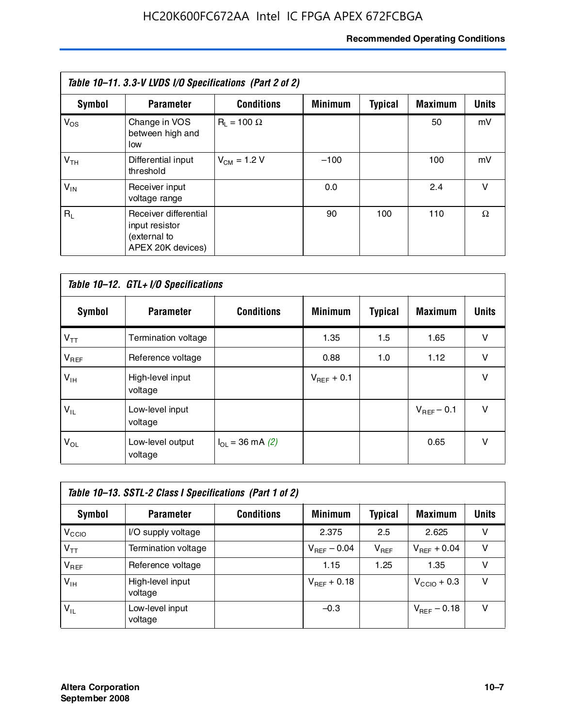#### **Recommended Operating Conditions**

| Table 10-11. 3.3-V LVDS I/O Specifications (Part 2 of 2) |                                                                              |                    |                |                |                |              |  |
|----------------------------------------------------------|------------------------------------------------------------------------------|--------------------|----------------|----------------|----------------|--------------|--|
| Symbol                                                   | <b>Parameter</b>                                                             | <b>Conditions</b>  | <b>Minimum</b> | <b>Typical</b> | <b>Maximum</b> | <b>Units</b> |  |
| $V_{OS}$                                                 | Change in VOS<br>between high and<br>low                                     | $R_1 = 100 \Omega$ |                |                | 50             | mV           |  |
| V <sub>TH</sub>                                          | Differential input<br>threshold                                              | $V_{CM} = 1.2 V$   | $-100$         |                | 100            | mV           |  |
| $V_{IN}$                                                 | Receiver input<br>voltage range                                              |                    | 0.0            |                | 2.4            | v            |  |
| $R_1$                                                    | Receiver differential<br>input resistor<br>(external to<br>APEX 20K devices) |                    | 90             | 100            | 110            | Ω            |  |

| Table 10-12. GTL+ I/O Specifications |                             |                          |                 |                |                 |              |  |
|--------------------------------------|-----------------------------|--------------------------|-----------------|----------------|-----------------|--------------|--|
| <b>Symbol</b>                        | <b>Parameter</b>            | <b>Conditions</b>        | <b>Minimum</b>  | <b>Typical</b> | <b>Maximum</b>  | <b>Units</b> |  |
| $V_{TT}$                             | Termination voltage         |                          | 1.35            | 1.5            | 1.65            | v            |  |
| $V_{REF}$                            | Reference voltage           |                          | 0.88            | 1.0            | 1.12            | $\vee$       |  |
| $V_{IH}$                             | High-level input<br>voltage |                          | $V_{REF}$ + 0.1 |                |                 | $\vee$       |  |
| $V_{IL}$                             | Low-level input<br>voltage  |                          |                 |                | $V_{BFF}$ – 0.1 | $\vee$       |  |
| $V_{OL}$                             | Low-level output<br>voltage | $I_{\Omega}$ = 36 mA (2) |                 |                | 0.65            | $\vee$       |  |

| Table 10–13. SSTL-2 Class I Specifications (Part 1 of 2) |                             |                   |                         |           |                         |              |  |
|----------------------------------------------------------|-----------------------------|-------------------|-------------------------|-----------|-------------------------|--------------|--|
| Symbol                                                   | <b>Parameter</b>            | <b>Conditions</b> | <b>Minimum</b>          | Typical   | <b>Maximum</b>          | <b>Units</b> |  |
| V <sub>CIO</sub>                                         | I/O supply voltage          |                   | 2.375                   | 2.5       | 2.625                   | v            |  |
| $V_{TT}$                                                 | Termination voltage         |                   | $V_{\text{BFE}} - 0.04$ | $V_{REF}$ | $V_{BFF}$ + 0.04        | v            |  |
| $V_{BEF}$                                                | Reference voltage           |                   | 1.15                    | 1.25      | 1.35                    | v            |  |
| $V_{\text{H}}$                                           | High-level input<br>voltage |                   | $V_{REF}$ + 0.18        |           | $V_{\text{CCIO}} + 0.3$ | v            |  |
| $V_{IL}$                                                 | Low-level input<br>voltage  |                   | $-0.3$                  |           | $V_{BFE}$ – 0.18        | v            |  |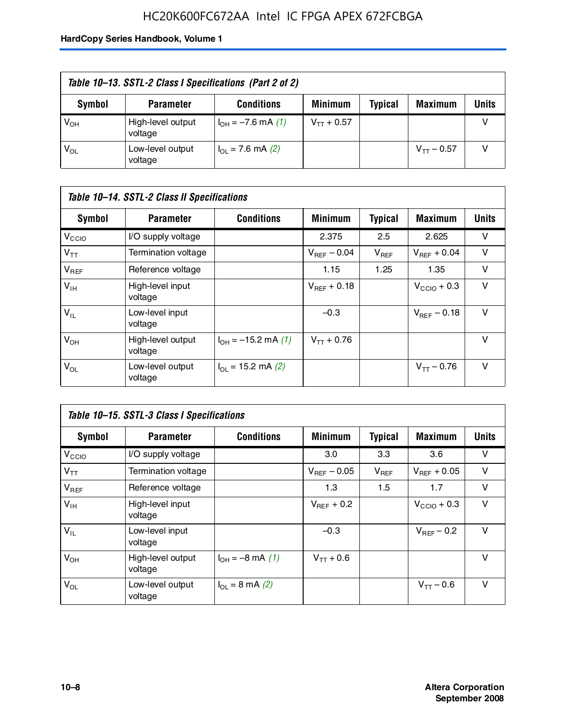### HC20K600FC672AA Intel IC FPGA APEX 672FCBGA

| Table 10–13. SSTL-2 Class I Specifications (Part 2 of 2) |                              |                           |                 |                |                 |              |  |
|----------------------------------------------------------|------------------------------|---------------------------|-----------------|----------------|-----------------|--------------|--|
| Symbol                                                   | <b>Parameter</b>             | <b>Conditions</b>         | <b>Minimum</b>  | <b>Typical</b> | <b>Maximum</b>  | <b>Units</b> |  |
| $V_{OH}$                                                 | High-level output<br>voltage | $I_{OH} = -7.6$ mA (1)    | $V_{TT}$ + 0.57 |                |                 |              |  |
| $V_{OL}$                                                 | Low-level output<br>voltage  | $I_{\Omega}$ = 7.6 mA (2) |                 |                | $V_{TT}$ – 0.57 |              |  |

| Table 10–14. SSTL-2 Class II Specifications |                              |                                       |                         |                |                  |              |  |
|---------------------------------------------|------------------------------|---------------------------------------|-------------------------|----------------|------------------|--------------|--|
| <b>Symbol</b>                               | <b>Parameter</b>             | <b>Conditions</b>                     | <b>Minimum</b>          | <b>Typical</b> | <b>Maximum</b>   | <b>Units</b> |  |
| V <sub>CCIO</sub>                           | I/O supply voltage           |                                       | 2.375                   | 2.5            | 2.625            | v            |  |
| $V_{TT}$                                    | <b>Termination voltage</b>   |                                       | $V_{\text{BFE}} - 0.04$ | $V_{REF}$      | $V_{BFF}$ + 0.04 | v            |  |
| $V_{REF}$                                   | Reference voltage            |                                       | 1.15                    | 1.25           | 1.35             | v            |  |
| $V_{IH}$                                    | High-level input<br>voltage  |                                       | $V_{BFF}$ + 0.18        |                | $V_{CCD}$ + 0.3  | v            |  |
| $V_{IL}$                                    | Low-level input<br>voltage   |                                       | $-0.3$                  |                | $V_{BFE} = 0.18$ | v            |  |
| $V_{OH}$                                    | High-level output<br>voltage | $I_{OH} = -15.2$ mA (1)               | $V_{TT}$ + 0.76         |                |                  | v            |  |
| $V_{OL}$                                    | Low-level output<br>voltage  | $I_{\text{O1}} = 15.2 \text{ mA} (2)$ |                         |                | $V_{TT} - 0.76$  | $\vee$       |  |

| Table 10–15. SSTL-3 Class I Specifications |                              |                                 |                         |                |                         |              |  |
|--------------------------------------------|------------------------------|---------------------------------|-------------------------|----------------|-------------------------|--------------|--|
| <b>Symbol</b>                              | <b>Parameter</b>             | <b>Conditions</b>               | <b>Minimum</b>          | <b>Typical</b> | <b>Maximum</b>          | <b>Units</b> |  |
| $V_{\rm CCIO}$                             | I/O supply voltage           |                                 | 3.0                     | 3.3            | 3.6                     | v            |  |
| $V_{TT}$                                   | Termination voltage          |                                 | $V_{\text{BFE}} - 0.05$ | $V_{REF}$      | $V_{BFF}$ + 0.05        | v            |  |
| $V_{REF}$                                  | Reference voltage            |                                 | 1.3                     | 1.5            | 1.7                     | v            |  |
| $V_{\text{IH}}$                            | High-level input<br>voltage  |                                 | $V_{BFF}$ + 0.2         |                | $V_{\text{CCIO}} + 0.3$ | v            |  |
| $V_{IL}$                                   | Low-level input<br>voltage   |                                 | $-0.3$                  |                | $V_{\text{BFF}}$ – 0.2  | v            |  |
| $V_{OH}$                                   | High-level output<br>voltage | $I_{OH} = -8 \text{ mA}$ (1)    | $V_{TT} + 0.6$          |                |                         | v            |  |
| $V_{OL}$                                   | Low-level output<br>voltage  | $I_{\Omega} = 8 \text{ mA} (2)$ |                         |                | $V_{TT} - 0.6$          | v            |  |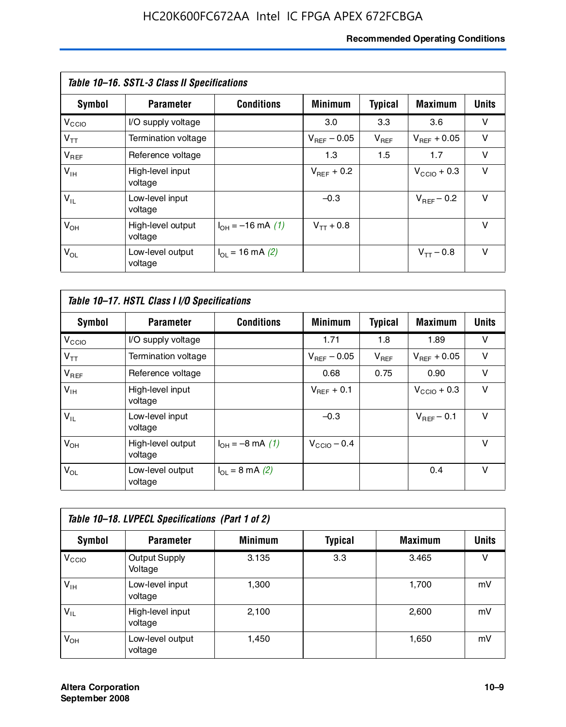#### **Recommended Operating Conditions**

| Table 10-16. SSTL-3 Class II Specifications |                              |                          |                         |                |                         |              |  |
|---------------------------------------------|------------------------------|--------------------------|-------------------------|----------------|-------------------------|--------------|--|
| <b>Symbol</b>                               | <b>Parameter</b>             | <b>Conditions</b>        | <b>Minimum</b>          | <b>Typical</b> | <b>Maximum</b>          | <b>Units</b> |  |
| V <sub>CCIO</sub>                           | I/O supply voltage           |                          | 3.0                     | 3.3            | 3.6                     | v            |  |
| $V_{TT}$                                    | Termination voltage          |                          | $V_{\text{BFE}} - 0.05$ | $V_{REF}$      | $V_{BFF}$ + 0.05        | v            |  |
| $V_{REF}$                                   | Reference voltage            |                          | 1.3                     | 1.5            | 1.7                     | v            |  |
| $V_{IH}$                                    | High-level input<br>voltage  |                          | $V_{BFF}$ + 0.2         |                | $V_{\text{CCIO}} + 0.3$ | v            |  |
| $V_{IL}$                                    | Low-level input<br>voltage   |                          | $-0.3$                  |                | $V_{BFF}$ – 0.2         | $\vee$       |  |
| $V_{OH}$                                    | High-level output<br>voltage | $I_{OH} = -16$ mA (1)    | $V_{TT}$ + 0.8          |                |                         | v            |  |
| $V_{OL}$                                    | Low-level output<br>voltage  | $I_{\Omega}$ = 16 mA (2) |                         |                | $V_{TT} - 0.8$          | v            |  |

| Table 10–17. HSTL Class I I/O Specifications |                              |                                 |                         |                |                         |              |  |
|----------------------------------------------|------------------------------|---------------------------------|-------------------------|----------------|-------------------------|--------------|--|
| Symbol                                       | <b>Parameter</b>             | <b>Conditions</b>               | <b>Minimum</b>          | <b>Typical</b> | <b>Maximum</b>          | <b>Units</b> |  |
| V <sub>CCO</sub>                             | I/O supply voltage           |                                 | 1.71                    | 1.8            | 1.89                    | v            |  |
| $V_{TT}$                                     | <b>Termination voltage</b>   |                                 | $V_{\text{BFF}}$ – 0.05 | $V_{REF}$      | $V_{BFF}$ + 0.05        | v            |  |
| $V_{REF}$                                    | Reference voltage            |                                 | 0.68                    | 0.75           | 0.90                    | $\vee$       |  |
| $V_{\text{IH}}$                              | High-level input<br>voltage  |                                 | $V_{BFF}$ + 0.1         |                | $V_{\text{CCIO}} + 0.3$ | v            |  |
| $V_{IL}$                                     | Low-level input<br>voltage   |                                 | $-0.3$                  |                | $V_{BFF}$ – 0.1         | $\vee$       |  |
| $V_{OH}$                                     | High-level output<br>voltage | $I_{OH} = -8$ mA (1)            | $V_{\text{CCIO}} - 0.4$ |                |                         | v            |  |
| $V_{OL}$                                     | Low-level output<br>voltage  | $I_{\Omega} = 8 \text{ mA}$ (2) |                         |                | 0.4                     | $\vee$       |  |

| Table 10-18. LVPECL Specifications (Part 1 of 2) |                                 |                |         |                |              |  |  |
|--------------------------------------------------|---------------------------------|----------------|---------|----------------|--------------|--|--|
| Symbol                                           | <b>Parameter</b>                | <b>Minimum</b> | Typical | <b>Maximum</b> | <b>Units</b> |  |  |
| V <sub>CCIO</sub>                                | <b>Output Supply</b><br>Voltage | 3.135          | 3.3     | 3.465          | v            |  |  |
| $V_{IH}$                                         | Low-level input<br>voltage      | 1,300          |         | 1,700          | mV           |  |  |
| $V_{IL}$                                         | High-level input<br>voltage     | 2.100          |         | 2,600          | mV           |  |  |
| $V_{OH}$                                         | Low-level output<br>voltage     | 1.450          |         | 1,650          | mV           |  |  |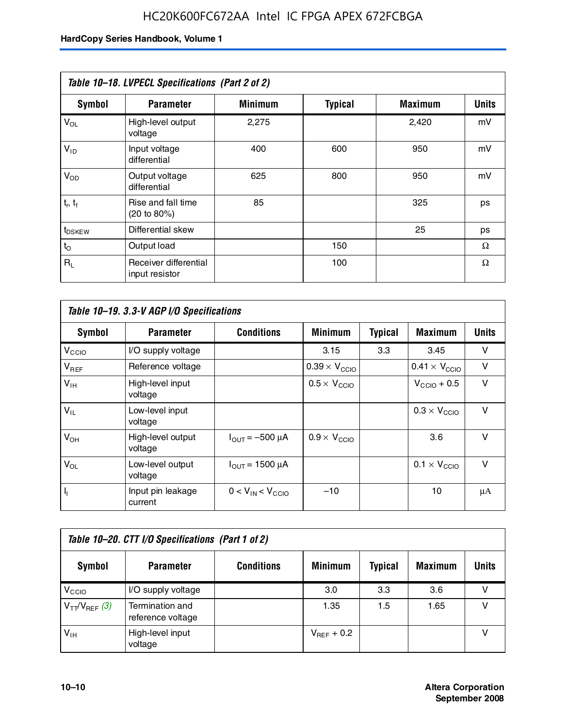### HC20K600FC672AA Intel IC FPGA APEX 672FCBGA

| Table 10-18. LVPECL Specifications (Part 2 of 2) |                                         |                |                |                |              |  |  |
|--------------------------------------------------|-----------------------------------------|----------------|----------------|----------------|--------------|--|--|
| Symbol                                           | <b>Parameter</b>                        | <b>Minimum</b> | <b>Typical</b> | <b>Maximum</b> | <b>Units</b> |  |  |
| $V_{OL}$                                         | High-level output<br>voltage            | 2,275          |                | 2,420          | mV           |  |  |
| $V_{ID}$                                         | Input voltage<br>differential           | 400            | 600            | 950            | mV           |  |  |
| $V_{OD}$                                         | Output voltage<br>differential          | 625            | 800            | 950            | mV           |  |  |
| $t_r$ , $t_f$                                    | Rise and fall time<br>(20 to 80%)       | 85             |                | 325            | ps           |  |  |
| t <sub>DSKEW</sub>                               | Differential skew                       |                |                | 25             | ps           |  |  |
| $t_{\rm O}$                                      | Output load                             |                | 150            |                | Ω            |  |  |
| $R_{\rm L}$                                      | Receiver differential<br>input resistor |                | 100            |                | Ω            |  |  |

| Table 10–19. 3.3-V AGP I/O Specifications |                              |                               |                               |                |                               |              |  |
|-------------------------------------------|------------------------------|-------------------------------|-------------------------------|----------------|-------------------------------|--------------|--|
| Symbol                                    | <b>Parameter</b>             | <b>Conditions</b>             | <b>Minimum</b>                | <b>Typical</b> | <b>Maximum</b>                | <b>Units</b> |  |
| V <sub>CCIO</sub>                         | I/O supply voltage           |                               | 3.15                          | 3.3            | 3.45                          | v            |  |
| $V_{REF}$                                 | Reference voltage            |                               | $0.39 \times V_{\text{CCIO}}$ |                | $0.41 \times V_{\text{CCIO}}$ | v            |  |
| $V_{\text{IH}}$                           | High-level input<br>voltage  |                               | $0.5 \times V_{\text{CCIO}}$  |                | $V_{CCD}$ + 0.5               | v            |  |
| $V_{IL}$                                  | Low-level input<br>voltage   |                               |                               |                | $0.3 \times V_{\text{CCIO}}$  | v            |  |
| $V_{OH}$                                  | High-level output<br>voltage | $I_{\text{OUT}} = -500 \mu A$ | $0.9 \times V_{\text{CCIO}}$  |                | 3.6                           | $\vee$       |  |
| $V_{OL}$                                  | Low-level output<br>voltage  | $I_{\text{OUT}} = 1500 \mu A$ |                               |                | $0.1 \times V_{\text{CCIO}}$  | v            |  |
| $I_1$                                     | Input pin leakage<br>current | $0 < V_{IN} < V_{CCIO}$       | $-10$                         |                | 10                            | μA           |  |

| Table 10–20. CTT I/O Specifications (Part 1 of 2) |                                      |                   |                 |                |                |       |  |
|---------------------------------------------------|--------------------------------------|-------------------|-----------------|----------------|----------------|-------|--|
| <b>Symbol</b>                                     | <b>Parameter</b>                     | <b>Conditions</b> | <b>Minimum</b>  | <b>Typical</b> | <b>Maximum</b> | Units |  |
| V <sub>CIO</sub>                                  | I/O supply voltage                   |                   | 3.0             | 3.3            | 3.6            |       |  |
| $V_{TT}/V_{REF}$ (3)                              | Termination and<br>reference voltage |                   | 1.35            | 1.5            | 1.65           |       |  |
| $V_{IH}$                                          | High-level input<br>voltage          |                   | $V_{BFF}$ + 0.2 |                |                |       |  |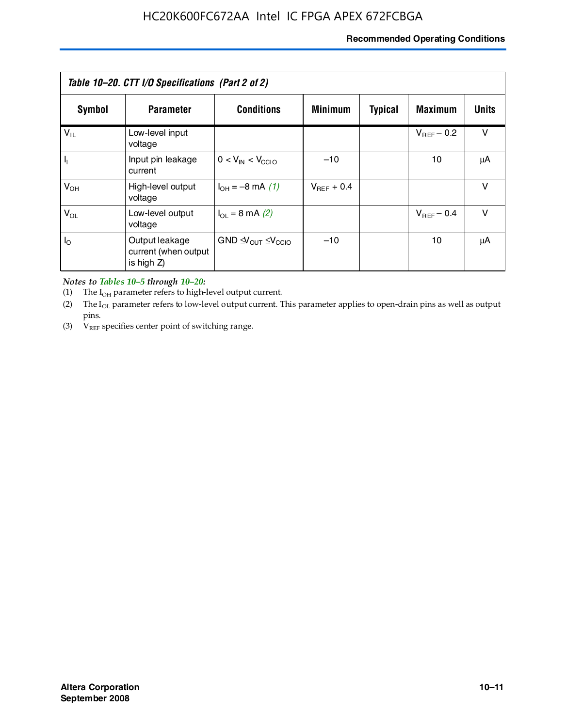#### **Recommended Operating Conditions**

| Table 10–20. CTT I/O Specifications (Part 2 of 2) |                                                      |                                           |                 |                |                 |        |  |
|---------------------------------------------------|------------------------------------------------------|-------------------------------------------|-----------------|----------------|-----------------|--------|--|
| Symbol                                            | <b>Parameter</b>                                     | <b>Conditions</b>                         | <b>Minimum</b>  | <b>Typical</b> | <b>Maximum</b>  | Units  |  |
| $V_{IL}$                                          | Low-level input<br>voltage                           |                                           |                 |                | $V_{BFF}$ – 0.2 | $\vee$ |  |
| $\mathbf{I}_{\mathrm{I}}$                         | Input pin leakage<br>current                         | $0 < V_{IN} < V_{CCIO}$                   | $-10$           |                | 10              | μA     |  |
| $V_{OH}$                                          | High-level output<br>voltage                         | $I_{OH} = -8$ mA (1)                      | $V_{REF}$ + 0.4 |                |                 | $\vee$ |  |
| $V_{OL}$                                          | Low-level output<br>voltage                          | $I_{\Omega}$ = 8 mA (2)                   |                 |                | $V_{BFF}$ – 0.4 | $\vee$ |  |
| $I_{\odot}$                                       | Output leakage<br>current (when output<br>is high Z) | $GND \triangleleft V_{OUT} \leq V_{CCIO}$ | $-10$           |                | 10              | μA     |  |

*Notes to Tables 10–5 through 10–20:*

(1) The  $I_{OH}$  parameter refers to high-level output current.

(2) The  $I_{OL}$  parameter refers to low-level output current. This parameter applies to open-drain pins as well as output pins.

(3)  $V_{REF}$  specifies center point of switching range.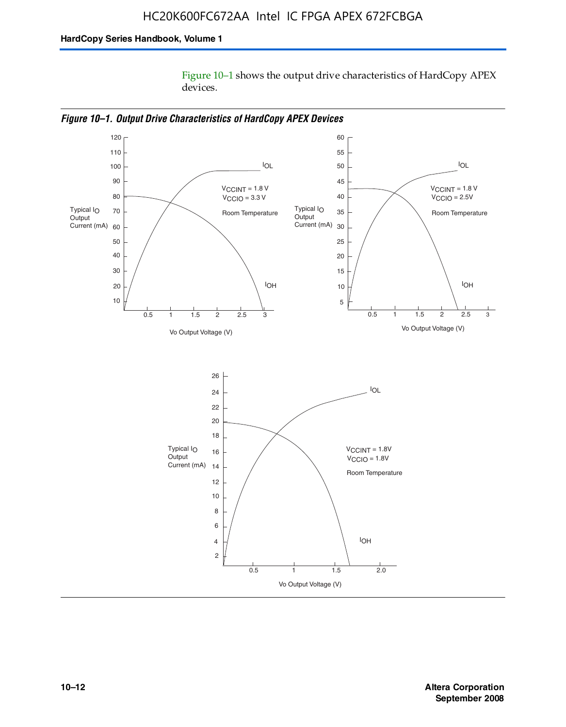Figure 10–1 shows the output drive characteristics of HardCopy APEX devices.



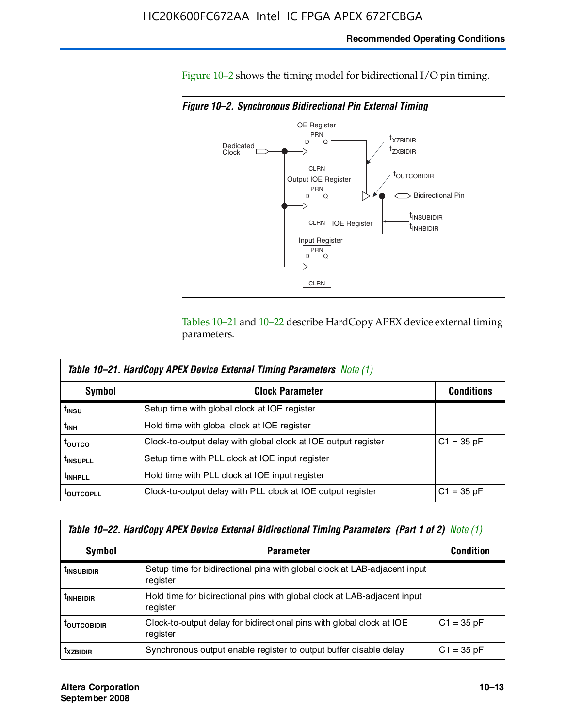#### **Recommended Operating Conditions**

Figure 10–2 shows the timing model for bidirectional I/O pin timing.

*Figure 10–2. Synchronous Bidirectional Pin External Timing*



Tables 10–21 and 10–22 describe HardCopy APEX device external timing parameters.

| <b>Table 10–21. HardCopy APEX Device External Timing Parameters Note (1)</b> |                                                                |                   |  |  |  |  |
|------------------------------------------------------------------------------|----------------------------------------------------------------|-------------------|--|--|--|--|
| Symbol                                                                       | <b>Clock Parameter</b>                                         | <b>Conditions</b> |  |  |  |  |
| t <sub>insu</sub>                                                            | Setup time with global clock at IOE register                   |                   |  |  |  |  |
| t <sub>інн</sub>                                                             | Hold time with global clock at IOE register                    |                   |  |  |  |  |
| τ <sub>ουτςο</sub>                                                           | Clock-to-output delay with global clock at IOE output register | $C1 = 35 pF$      |  |  |  |  |
| <b>t</b> INSUPLL                                                             | Setup time with PLL clock at IOE input register                |                   |  |  |  |  |
| <b>t</b> INHPLL                                                              | Hold time with PLL clock at IOE input register                 |                   |  |  |  |  |
| <b>TOUTCOPLL</b>                                                             | Clock-to-output delay with PLL clock at IOE output register    | $C1 = 35 pF$      |  |  |  |  |

| Table 10–22. HardCopy APEX Device External Bidirectional Timing Parameters (Part 1 of 2) Note (1) |                                                                                       |              |  |  |  |  |
|---------------------------------------------------------------------------------------------------|---------------------------------------------------------------------------------------|--------------|--|--|--|--|
| Symbol                                                                                            | <b>Condition</b>                                                                      |              |  |  |  |  |
| <b><i>L</i>INSUBIDIR</b>                                                                          | Setup time for bidirectional pins with global clock at LAB-adjacent input<br>register |              |  |  |  |  |
| <b><i>L</i>INHBIDIR</b>                                                                           | Hold time for bidirectional pins with global clock at LAB-adjacent input<br>register  |              |  |  |  |  |
| <b>LOUTCOBIDIR</b>                                                                                | Clock-to-output delay for bidirectional pins with global clock at IOE<br>register     | $C1 = 35 pF$ |  |  |  |  |
| <b>T</b> x <sub>7BIDIR</sub>                                                                      | Synchronous output enable register to output buffer disable delay                     | $C1 = 35 pF$ |  |  |  |  |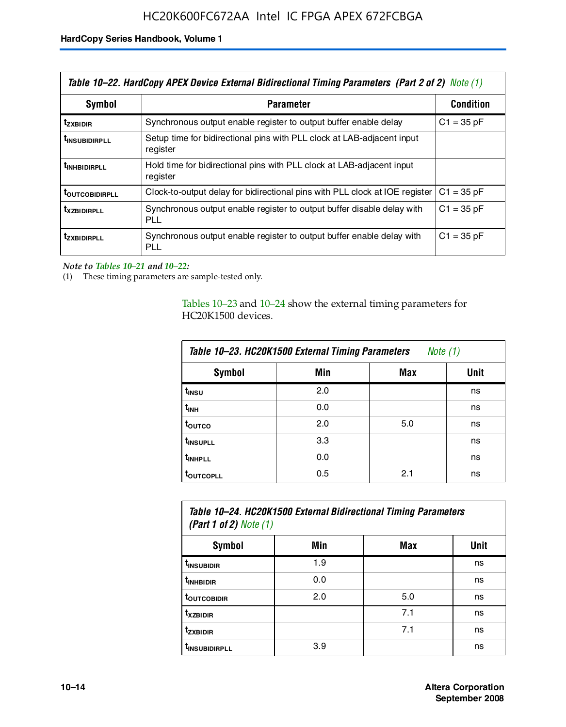| Table 10–22. HardCopy APEX Device External Bidirectional Timing Parameters (Part 2 of 2) Note (1) |                                                                                    |                  |  |  |  |
|---------------------------------------------------------------------------------------------------|------------------------------------------------------------------------------------|------------------|--|--|--|
| Symbol                                                                                            | <b>Parameter</b>                                                                   | <b>Condition</b> |  |  |  |
| t <sub>zxbidir</sub>                                                                              | Synchronous output enable register to output buffer enable delay                   | $C1 = 35 pF$     |  |  |  |
| <b>t</b> insubidirpll                                                                             | Setup time for bidirectional pins with PLL clock at LAB-adiacent input<br>register |                  |  |  |  |
| <b><i>LINHBIDIRPLL</i></b>                                                                        | Hold time for bidirectional pins with PLL clock at LAB-adjacent input<br>register  |                  |  |  |  |
| <b>TOUTCOBIDIRPLL</b>                                                                             | Clock-to-output delay for bidirectional pins with PLL clock at IOE register        | $C1 = 35 pF$     |  |  |  |
| <b>TXZBIDIRPLL</b>                                                                                | Synchronous output enable register to output buffer disable delay with<br>PLL      | $C1 = 35 pF$     |  |  |  |
| <i>t</i> zxbidirpll                                                                               | Synchronous output enable register to output buffer enable delay with<br>PLI.      | $C1 = 35 pF$     |  |  |  |

*Note to Tables 10–21 and 10–22:*

(1) These timing parameters are sample-tested only.

Tables 10–23 and 10–24 show the external timing parameters for HC20K1500 devices.

| Table 10-23. HC20K1500 External Timing Parameters<br>Note (1) |     |     |      |
|---------------------------------------------------------------|-----|-----|------|
| <b>Symbol</b>                                                 | Min | Max | Unit |
| t <sub>INSU</sub>                                             | 2.0 |     | ns   |
| $t_{\sf INH}$                                                 | 0.0 |     | ns   |
| t <sub>outco</sub>                                            | 2.0 | 5.0 | ns   |
| t <sub>INSUPLL</sub>                                          | 3.3 |     | ns   |
| t <sub>INHPLL</sub>                                           | 0.0 |     | ns   |
| <b>toutcopll</b>                                              | 0.5 | 2.1 | ns   |

| Table 10–24. HC20K1500 External Bidirectional Timing Parameters<br>(Part 1 of 2) Note $(1)$ |     |     |      |
|---------------------------------------------------------------------------------------------|-----|-----|------|
| Symbol                                                                                      | Min | Max | Unit |
| t <sub>insubidir</sub>                                                                      | 1.9 |     | ns   |
| t <sub>in HBIDIR</sub>                                                                      | 0.0 |     | ns   |
| <b>TOUTCOBIDIR</b>                                                                          | 2.0 | 5.0 | ns   |

**tXZBIDIR** 7.1 ns **t<sub>zxbidir</sub>** https://www.flood.com/distance/community/community/community/community/community/community/community/ t<sub>INSUBIDIRPLL</sub> 3.9 and 3.9 ns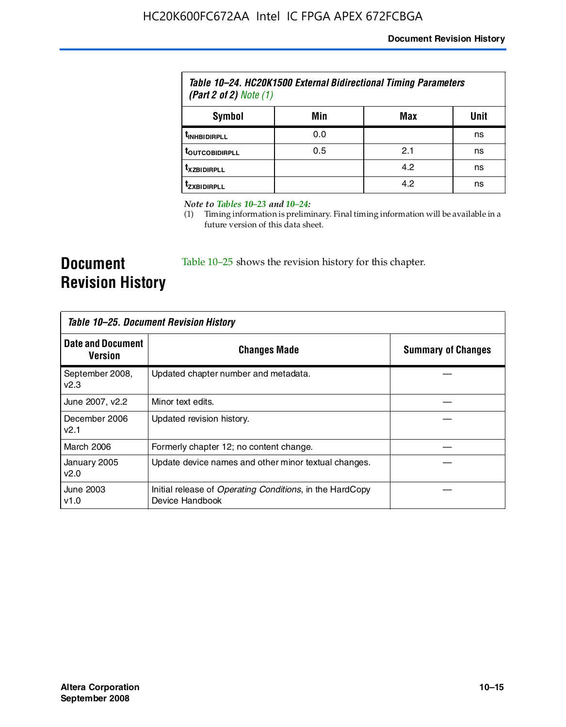| Table 10–24. HC20K1500 External Bidirectional Timing Parameters<br>(Part 2 of 2) Note $(1)$ |     |     |      |
|---------------------------------------------------------------------------------------------|-----|-----|------|
| Symbol                                                                                      | Min | Max | Unit |
| <b><i>UNHBIDIRPLL</i></b>                                                                   | 0.0 |     | ns   |
| <b>TOUTCOBIDIRPLL</b>                                                                       | 0.5 | 2.1 | ns   |
| <b>T</b> XZBIDIRPLL                                                                         |     | 4.2 | ns   |
| <sup>T</sup> ZXBIDIRPLL                                                                     |     | 4.2 | ns   |

*Note to Tables 10–23 and 10–24:*

(1) Timing information is preliminary. Final timing information will be available in a future version of this data sheet.

**Document Revision History**

Table 10–25 shows the revision history for this chapter.

| Table 10–25. Document Revision History     |                                                                                     |                           |  |
|--------------------------------------------|-------------------------------------------------------------------------------------|---------------------------|--|
| <b>Date and Document</b><br><b>Version</b> | <b>Changes Made</b>                                                                 | <b>Summary of Changes</b> |  |
| September 2008,<br>v2.3                    | Updated chapter number and metadata.                                                |                           |  |
| June 2007, v2.2                            | Minor text edits.                                                                   |                           |  |
| December 2006<br>v2.1                      | Updated revision history.                                                           |                           |  |
| March 2006                                 | Formerly chapter 12; no content change.                                             |                           |  |
| January 2005<br>v2.0                       | Update device names and other minor textual changes.                                |                           |  |
| June 2003<br>v1.0                          | Initial release of <i>Operating Conditions</i> , in the HardCopy<br>Device Handbook |                           |  |